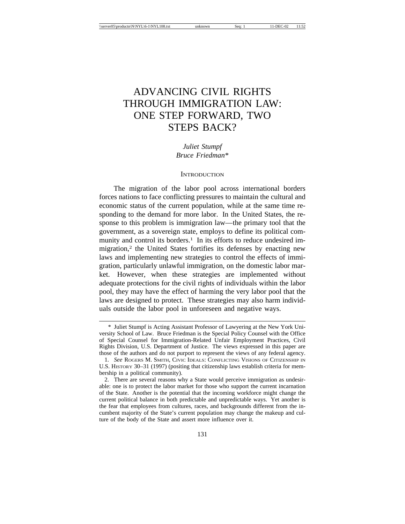# ADVANCING CIVIL RIGHTS THROUGH IMMIGRATION LAW: ONE STEP FORWARD, TWO STEPS BACK?

*Juliet Stumpf Bruce Friedman\**

#### **INTRODUCTION**

The migration of the labor pool across international borders forces nations to face conflicting pressures to maintain the cultural and economic status of the current population, while at the same time responding to the demand for more labor. In the United States, the response to this problem is immigration law—the primary tool that the government, as a sovereign state, employs to define its political community and control its borders.<sup>1</sup> In its efforts to reduce undesired immigration,<sup>2</sup> the United States fortifies its defenses by enacting new laws and implementing new strategies to control the effects of immigration, particularly unlawful immigration, on the domestic labor market. However, when these strategies are implemented without adequate protections for the civil rights of individuals within the labor pool, they may have the effect of harming the very labor pool that the laws are designed to protect. These strategies may also harm individuals outside the labor pool in unforeseen and negative ways.

<sup>\*</sup> Juliet Stumpf is Acting Assistant Professor of Lawyering at the New York University School of Law. Bruce Friedman is the Special Policy Counsel with the Office of Special Counsel for Immigration-Related Unfair Employment Practices, Civil Rights Division, U.S. Department of Justice. The views expressed in this paper are those of the authors and do not purport to represent the views of any federal agency.

<sup>1.</sup> *See* ROGERS M. SMITH, CIVIC IDEALS: CONFLICTING VISIONS OF CITIZENSHIP IN U.S. HISTORY 30–31 (1997) (positing that citizenship laws establish criteria for membership in a political community).

<sup>2.</sup> There are several reasons why a State would perceive immigration as undesirable: one is to protect the labor market for those who support the current incarnation of the State. Another is the potential that the incoming workforce might change the current political balance in both predictable and unpredictable ways. Yet another is the fear that employees from cultures, races, and backgrounds different from the incumbent majority of the State's current population may change the makeup and culture of the body of the State and assert more influence over it.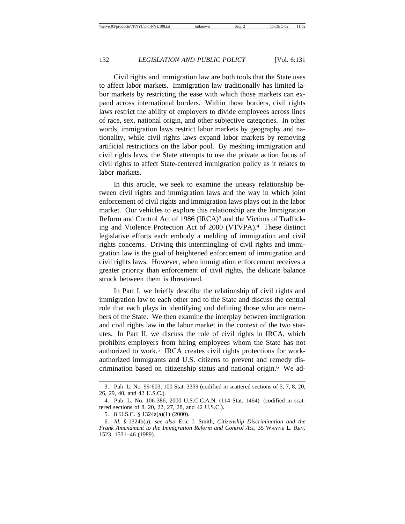Civil rights and immigration law are both tools that the State uses to affect labor markets. Immigration law traditionally has limited labor markets by restricting the ease with which those markets can expand across international borders. Within those borders, civil rights laws restrict the ability of employers to divide employees across lines of race, sex, national origin, and other subjective categories. In other words, immigration laws restrict labor markets by geography and nationality, while civil rights laws expand labor markets by removing artificial restrictions on the labor pool. By meshing immigration and civil rights laws, the State attempts to use the private action focus of civil rights to affect State-centered immigration policy as it relates to labor markets.

In this article, we seek to examine the uneasy relationship between civil rights and immigration laws and the way in which joint enforcement of civil rights and immigration laws plays out in the labor market. Our vehicles to explore this relationship are the Immigration Reform and Control Act of 1986 (IRCA)<sup>3</sup> and the Victims of Trafficking and Violence Protection Act of 2000 (VTVPA).4 These distinct legislative efforts each embody a melding of immigration and civil rights concerns. Driving this intermingling of civil rights and immigration law is the goal of heightened enforcement of immigration and civil rights laws. However, when immigration enforcement receives a greater priority than enforcement of civil rights, the delicate balance struck between them is threatened.

In Part I, we briefly describe the relationship of civil rights and immigration law to each other and to the State and discuss the central role that each plays in identifying and defining those who are members of the State. We then examine the interplay between immigration and civil rights law in the labor market in the context of the two statutes. In Part II, we discuss the role of civil rights in IRCA, which prohibits employers from hiring employees whom the State has not authorized to work.<sup>5</sup> IRCA creates civil rights protections for workauthorized immigrants and U.S. citizens to prevent and remedy discrimination based on citizenship status and national origin.6 We ad-

<sup>3.</sup> Pub. L. No. 99-603, 100 Stat. 3359 (codified in scattered sections of 5, 7, 8, 20, 26, 29, 40, and 42 U.S.C.).

<sup>4.</sup> Pub. L. No. 106-386, 2000 U.S.C.C.A.N. (114 Stat. 1464) (codified in scattered sections of 8, 20, 22, 27, 28, and 42 U.S.C.).

<sup>5. 8</sup> U.S.C. § 1324a(a)(1) (2000).

<sup>6.</sup> *Id.* § 1324b(a); *see also* Eric J. Smith, *Citizenship Discrimination and the Frank Amendment to the Immigration Reform and Control Act*, 35 WAYNE L. REV. 1523, 1531–46 (1989).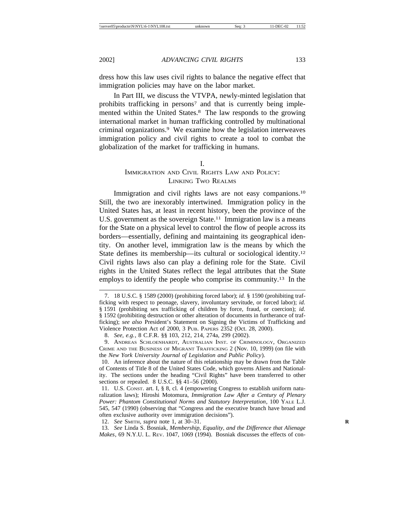dress how this law uses civil rights to balance the negative effect that immigration policies may have on the labor market.

In Part III, we discuss the VTVPA, newly-minted legislation that prohibits trafficking in persons<sup>7</sup> and that is currently being implemented within the United States.8 The law responds to the growing international market in human trafficking controlled by multinational criminal organizations.9 We examine how the legislation interweaves immigration policy and civil rights to create a tool to combat the globalization of the market for trafficking in humans.

#### I.

# IMMIGRATION AND CIVIL RIGHTS LAW AND POLICY: LINKING TWO REALMS

Immigration and civil rights laws are not easy companions.<sup>10</sup> Still, the two are inexorably intertwined. Immigration policy in the United States has, at least in recent history, been the province of the U.S. government as the sovereign State.<sup>11</sup> Immigration law is a means for the State on a physical level to control the flow of people across its borders—essentially, defining and maintaining its geographical identity. On another level, immigration law is the means by which the State defines its membership—its cultural or sociological identity.12 Civil rights laws also can play a defining role for the State. Civil rights in the United States reflect the legal attributes that the State employs to identify the people who comprise its community.13 In the

<sup>7. 18</sup> U.S.C. § 1589 (2000) (prohibiting forced labor); *id.* § 1590 (prohibiting trafficking with respect to peonage, slavery, involuntary servitude, or forced labor); *id.* § 1591 (prohibiting sex trafficking of children by force, fraud, or coercion); *id.* § 1592 (prohibiting destruction or other alteration of documents in furtherance of trafficking); *see also* President's Statement on Signing the Victims of Trafficking and Violence Protection Act of 2000, 3 PUB. PAPERS 2352 (Oct. 28, 2000).

<sup>8.</sup> *See, e.g.*, 8 C.F.R. §§ 103, 212, 214, 274a, 299 (2002).

<sup>9.</sup> ANDREAS SCHLOENHARDT, AUSTRALIAN INST. OF CRIMINOLOGY, ORGANIZED CRIME AND THE BUSINESS OF MIGRANT TRAFFICKING 2 (Nov. 10, 1999) (on file with the *New York University Journal of Legislation and Public Policy*).

<sup>10.</sup> An inference about the nature of this relationship may be drawn from the Table of Contents of Title 8 of the United States Code, which governs Aliens and Nationality. The sections under the heading "Civil Rights" have been transferred to other sections or repealed. 8 U.S.C. §§ 41–56 (2000).

<sup>11.</sup> U.S. CONST. art. I, § 8, cl. 4 (empowering Congress to establish uniform naturalization laws); Hiroshi Motomura, *Immigration Law After a Century of Plenary Power: Phantom Constitutional Norms and Statutory Interpretation*, 100 YALE L.J. 545, 547 (1990) (observing that "Congress and the executive branch have broad and often exclusive authority over immigration decisions").

<sup>12.</sup> *See* SMITH, *supra* note 1, at 30–31. **R**

<sup>13.</sup> *See* Linda S. Bosniak, *Membership, Equality, and the Difference that Alienage Makes*, 69 N.Y.U. L. REV. 1047, 1069 (1994). Bosniak discusses the effects of con-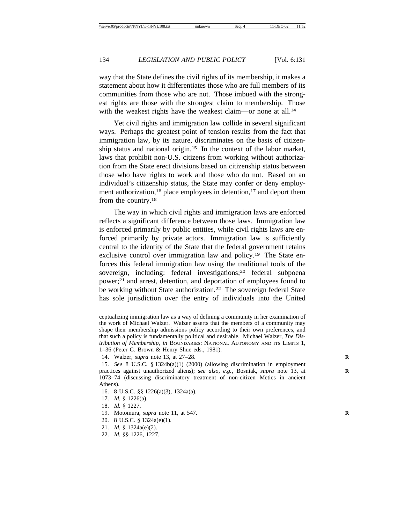way that the State defines the civil rights of its membership, it makes a statement about how it differentiates those who are full members of its communities from those who are not. Those imbued with the strongest rights are those with the strongest claim to membership. Those with the weakest rights have the weakest claim—or none at all.<sup>14</sup>

Yet civil rights and immigration law collide in several significant ways. Perhaps the greatest point of tension results from the fact that immigration law, by its nature, discriminates on the basis of citizenship status and national origin.15 In the context of the labor market, laws that prohibit non-U.S. citizens from working without authorization from the State erect divisions based on citizenship status between those who have rights to work and those who do not. Based on an individual's citizenship status, the State may confer or deny employment authorization,<sup>16</sup> place employees in detention,<sup>17</sup> and deport them from the country.18

The way in which civil rights and immigration laws are enforced reflects a significant difference between those laws. Immigration law is enforced primarily by public entities, while civil rights laws are enforced primarily by private actors. Immigration law is sufficiently central to the identity of the State that the federal government retains exclusive control over immigration law and policy.19 The State enforces this federal immigration law using the traditional tools of the sovereign, including: federal investigations;20 federal subpoena power;21 and arrest, detention, and deportation of employees found to be working without State authorization.<sup>22</sup> The sovereign federal State has sole jurisdiction over the entry of individuals into the United

- 16. 8 U.S.C. §§ 1226(a)(3), 1324a(a).
- 17. *Id.* § 1226(a).
- 18. *Id.* § 1227.
- 19. Motomura, *supra* note 11, at 547. **R**
- 20. 8 U.S.C. § 1324a(e)(1).
- 21. *Id.* § 1324a(e)(2).
- 22. *Id.* §§ 1226, 1227.

ceptualizing immigration law as a way of defining a community in her examination of the work of Michael Walzer. Walzer asserts that the members of a community may shape their membership admissions policy according to their own preferences, and that such a policy is fundamentally political and desirable. Michael Walzer, *The Distribution of Membership*, *in* BOUNDARIES: NATIONAL AUTONOMY AND ITS LIMITS 1, 1–36 (Peter G. Brown & Henry Shue eds., 1981).

<sup>14.</sup> Walzer, *supra* note 13, at 27–28. **R**

<sup>15.</sup> *See* 8 U.S.C. § 1324b(a)(1) (2000) (allowing discrimination in employment practices against unauthorized aliens); s*ee also, e.g.*, Bosniak, *supra* note 13, at **R** 1073–74 (discussing discriminatory treatment of non-citizen Metics in ancient Athens).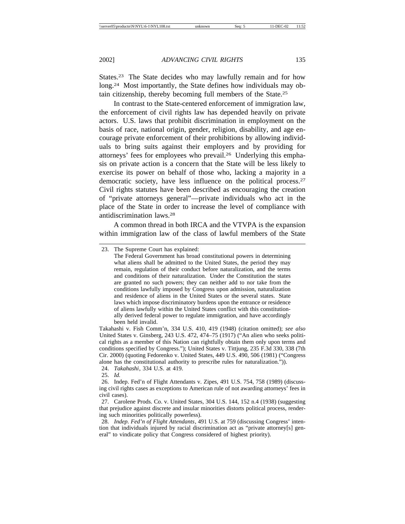States.<sup>23</sup> The State decides who may lawfully remain and for how long.<sup>24</sup> Most importantly, the State defines how individuals may obtain citizenship, thereby becoming full members of the State.25

In contrast to the State-centered enforcement of immigration law, the enforcement of civil rights law has depended heavily on private actors. U.S. laws that prohibit discrimination in employment on the basis of race, national origin, gender, religion, disability, and age encourage private enforcement of their prohibitions by allowing individuals to bring suits against their employers and by providing for attorneys' fees for employees who prevail.26 Underlying this emphasis on private action is a concern that the State will be less likely to exercise its power on behalf of those who, lacking a majority in a democratic society, have less influence on the political process.27 Civil rights statutes have been described as encouraging the creation of "private attorneys general"—private individuals who act in the place of the State in order to increase the level of compliance with antidiscrimination laws.28

A common thread in both IRCA and the VTVPA is the expansion within immigration law of the class of lawful members of the State

Takahashi v. Fish Comm'n, 334 U.S. 410, 419 (1948) (citation omitted); *see also* United States v. Ginsberg, 243 U.S. 472, 474–75 (1917) ("An alien who seeks political rights as a member of this Nation can rightfully obtain them only upon terms and conditions specified by Congress."); United States v. Tittjung, 235 F.3d 330, 338 (7th Cir. 2000) (quoting Fedorenko v. United States, 449 U.S. 490, 506 (1981) ("Congress alone has the constitutional authority to prescribe rules for naturalization.")).

24. *Takahashi*, 334 U.S. at 419.

25. *Id.*

26. Indep. Fed'n of Flight Attendants v. Zipes, 491 U.S. 754, 758 (1989) (discussing civil rights cases as exceptions to American rule of not awarding attorneys' fees in civil cases).

27. Carolene Prods. Co. v. United States, 304 U.S. 144, 152 n.4 (1938) (suggesting that prejudice against discrete and insular minorities distorts political process, rendering such minorities politically powerless).

28. *Indep. Fed'n of Flight Attendants*, 491 U.S. at 759 (discussing Congress' intention that individuals injured by racial discrimination act as "private attorney[s] general" to vindicate policy that Congress considered of highest priority).

<sup>23.</sup> The Supreme Court has explained:

The Federal Government has broad constitutional powers in determining what aliens shall be admitted to the United States, the period they may remain, regulation of their conduct before naturalization, and the terms and conditions of their naturalization. Under the Constitution the states are granted no such powers; they can neither add to nor take from the conditions lawfully imposed by Congress upon admission, naturalization and residence of aliens in the United States or the several states. State laws which impose discriminatory burdens upon the entrance or residence of aliens lawfully within the United States conflict with this constitutionally derived federal power to regulate immigration, and have accordingly been held invalid.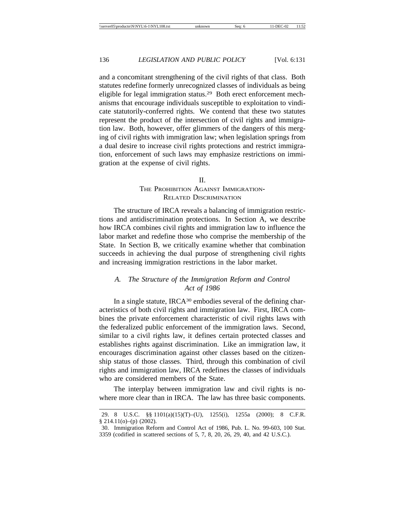and a concomitant strengthening of the civil rights of that class. Both statutes redefine formerly unrecognized classes of individuals as being eligible for legal immigration status.29 Both erect enforcement mechanisms that encourage individuals susceptible to exploitation to vindicate statutorily-conferred rights. We contend that these two statutes represent the product of the intersection of civil rights and immigration law. Both, however, offer glimmers of the dangers of this merging of civil rights with immigration law; when legislation springs from a dual desire to increase civil rights protections and restrict immigration, enforcement of such laws may emphasize restrictions on immigration at the expense of civil rights.

#### II.

# THE PROHIBITION AGAINST IMMIGRATION-RELATED DISCRIMINATION

The structure of IRCA reveals a balancing of immigration restrictions and antidiscrimination protections. In Section A, we describe how IRCA combines civil rights and immigration law to influence the labor market and redefine those who comprise the membership of the State. In Section B, we critically examine whether that combination succeeds in achieving the dual purpose of strengthening civil rights and increasing immigration restrictions in the labor market.

# *A. The Structure of the Immigration Reform and Control Act of 1986*

In a single statute, IRCA30 embodies several of the defining characteristics of both civil rights and immigration law. First, IRCA combines the private enforcement characteristic of civil rights laws with the federalized public enforcement of the immigration laws. Second, similar to a civil rights law, it defines certain protected classes and establishes rights against discrimination. Like an immigration law, it encourages discrimination against other classes based on the citizenship status of those classes. Third, through this combination of civil rights and immigration law, IRCA redefines the classes of individuals who are considered members of the State.

The interplay between immigration law and civil rights is nowhere more clear than in IRCA. The law has three basic components.

<sup>29. 8</sup> U.S.C. §§ 1101(a)(15)(T)–(U), 1255(i), 1255a (2000); 8 C.F.R.  $§$  214.11(o)–(p) (2002).

<sup>30.</sup> Immigration Reform and Control Act of 1986, Pub. L. No. 99-603, 100 Stat. 3359 (codified in scattered sections of 5, 7, 8, 20, 26, 29, 40, and 42 U.S.C.).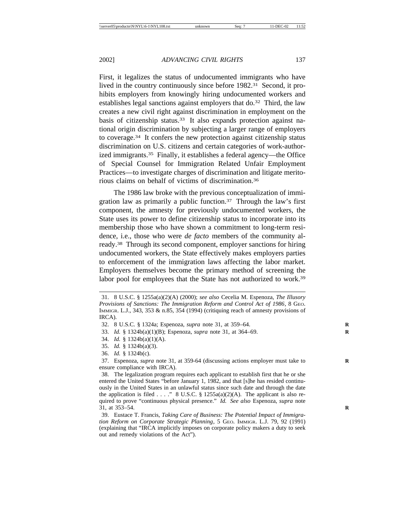First, it legalizes the status of undocumented immigrants who have lived in the country continuously since before 1982.31 Second, it prohibits employers from knowingly hiring undocumented workers and establishes legal sanctions against employers that do.32 Third, the law creates a new civil right against discrimination in employment on the basis of citizenship status.<sup>33</sup> It also expands protection against national origin discrimination by subjecting a larger range of employers to coverage.34 It confers the new protection against citizenship status discrimination on U.S. citizens and certain categories of work-authorized immigrants.35 Finally, it establishes a federal agency—the Office of Special Counsel for Immigration Related Unfair Employment Practices—to investigate charges of discrimination and litigate meritorious claims on behalf of victims of discrimination.36

The 1986 law broke with the previous conceptualization of immigration law as primarily a public function.37 Through the law's first component, the amnesty for previously undocumented workers, the State uses its power to define citizenship status to incorporate into its membership those who have shown a commitment to long-term residence, i.e., those who were *de facto* members of the community already.38 Through its second component, employer sanctions for hiring undocumented workers, the State effectively makes employers parties to enforcement of the immigration laws affecting the labor market. Employers themselves become the primary method of screening the labor pool for employees that the State has not authorized to work.<sup>39</sup>

- 33. *Id.* § 1324b(a)(1)(B); Espenoza, *supra* note 31, at 364–69. **R**
- 34. *Id.* § 1324b(a)(1)(A).
- 35. *Id.* § 1324b(a)(3).
- 36. *Id.* § 1324b(c).

38. The legalization program requires each applicant to establish first that he or she entered the United States "before January 1, 1982, and that [s]he has resided continuously in the United States in an unlawful status since such date and through the date the application is filed . . . ." 8 U.S.C. § 1255a(a)(2)(A). The applicant is also required to prove "continuous physical presence." *Id. See also* Espenoza, *supra* note 31, at 353–54. **R**

39. Eustace T. Francis, *Taking Care of Business: The Potential Impact of Immigration Reform on Corporate Strategic Planning*, 5 GEO. IMMIGR. L.J. 79, 92 (1991) (explaining that "IRCA implicitly imposes on corporate policy makers a duty to seek out and remedy violations of the Act").

<sup>31. 8</sup> U.S.C. § 1255a(a)(2)(A) (2000); *see also* Cecelia M. Espenoza, *The Illusory Provisions of Sanctions: The Immigration Reform and Control Act of 1986*, 8 GEO. IMMIGR. L.J., 343, 353 & n.85, 354 (1994) (critiquing reach of amnesty provisions of IRCA).

<sup>32. 8</sup> U.S.C. § 1324a; Espenoza, *supra* note 31, at 359–64. **R**

<sup>37.</sup> Espenoza, *supra* note 31, at 359-64 (discussing actions employer must take to **R** ensure compliance with IRCA).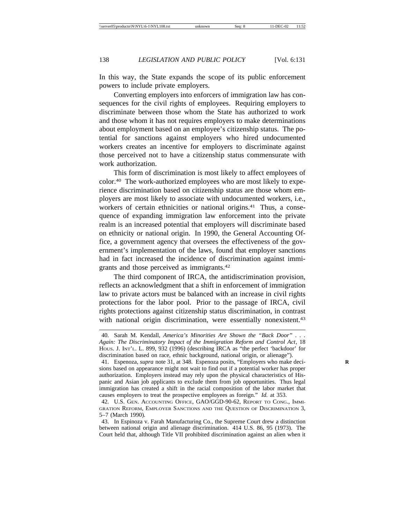In this way, the State expands the scope of its public enforcement powers to include private employers.

Converting employers into enforcers of immigration law has consequences for the civil rights of employees. Requiring employers to discriminate between those whom the State has authorized to work and those whom it has not requires employers to make determinations about employment based on an employee's citizenship status. The potential for sanctions against employers who hired undocumented workers creates an incentive for employers to discriminate against those perceived not to have a citizenship status commensurate with work authorization.

This form of discrimination is most likely to affect employees of color.40 The work-authorized employees who are most likely to experience discrimination based on citizenship status are those whom employers are most likely to associate with undocumented workers, i.e., workers of certain ethnicities or national origins.<sup>41</sup> Thus, a consequence of expanding immigration law enforcement into the private realm is an increased potential that employers will discriminate based on ethnicity or national origin. In 1990, the General Accounting Office, a government agency that oversees the effectiveness of the government's implementation of the laws, found that employer sanctions had in fact increased the incidence of discrimination against immigrants and those perceived as immigrants.42

The third component of IRCA, the antidiscrimination provision, reflects an acknowledgment that a shift in enforcement of immigration law to private actors must be balanced with an increase in civil rights protections for the labor pool. Prior to the passage of IRCA, civil rights protections against citizenship status discrimination, in contrast with national origin discrimination, were essentially nonexistent.<sup>43</sup>

<sup>40.</sup> Sarah M. Kendall, *America's Minorities Are Shown the "Back Door" . . . Again: The Discriminatory Impact of the Immigration Reform and Control Act*, 18 HOUS. J. INT'L. L. 899, 932 (1996) (describing IRCA as "the perfect 'backdoor' for discrimination based on race, ethnic background, national origin, or alienage").

<sup>41.</sup> Espenoza, *supra* note 31, at 348. Espenoza posits, "Employers who make decisions based on appearance might not wait to find out if a potential worker has proper authorization. Employers instead may rely upon the physical characteristics of Hispanic and Asian job applicants to exclude them from job opportunities. Thus legal immigration has created a shift in the racial composition of the labor market that causes employers to treat the prospective employees as foreign." *Id.* at 353.

<sup>42.</sup> U.S. GEN. ACCOUNTING OFFICE, GAO/GGD-90-62, REPORT TO CONG., IMMI-GRATION REFORM, EMPLOYER SANCTIONS AND THE QUESTION OF DISCRIMINATION 3, 5–7 (March 1990).

<sup>43.</sup> In Espinoza v. Farah Manufacturing Co., the Supreme Court drew a distinction between national origin and alienage discrimination. 414 U.S. 86, 95 (1973). The Court held that, although Title VII prohibited discrimination against an alien when it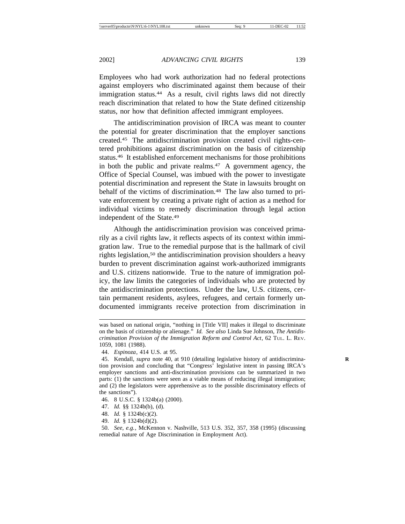Employees who had work authorization had no federal protections against employers who discriminated against them because of their immigration status.<sup>44</sup> As a result, civil rights laws did not directly reach discrimination that related to how the State defined citizenship status, nor how that definition affected immigrant employees.

The antidiscrimination provision of IRCA was meant to counter the potential for greater discrimination that the employer sanctions created.45 The antidiscrimination provision created civil rights-centered prohibitions against discrimination on the basis of citizenship status.46 It established enforcement mechanisms for those prohibitions in both the public and private realms.<sup>47</sup> A government agency, the Office of Special Counsel, was imbued with the power to investigate potential discrimination and represent the State in lawsuits brought on behalf of the victims of discrimination.<sup>48</sup> The law also turned to private enforcement by creating a private right of action as a method for individual victims to remedy discrimination through legal action independent of the State.49

Although the antidiscrimination provision was conceived primarily as a civil rights law, it reflects aspects of its context within immigration law. True to the remedial purpose that is the hallmark of civil rights legislation,<sup>50</sup> the antidiscrimination provision shoulders a heavy burden to prevent discrimination against work-authorized immigrants and U.S. citizens nationwide. True to the nature of immigration policy, the law limits the categories of individuals who are protected by the antidiscrimination protections. Under the law, U.S. citizens, certain permanent residents, asylees, refugees, and certain formerly undocumented immigrants receive protection from discrimination in

- 46. 8 U.S.C. § 1324b(a) (2000).
- 47. *Id.* §§ 1324b(b), (d).
- 48. *Id.* § 1324b(c)(2).
- 49. *Id.* § 1324b(d)(2).

was based on national origin, "nothing in [Title VII] makes it illegal to discriminate on the basis of citizenship or alienage." *Id. See also* Linda Sue Johnson, *The Antidiscrimination Provision of the Immigration Reform and Control Act*, 62 TUL. L. REV. 1059, 1081 (1988).

<sup>44.</sup> *Espinoza*, 414 U.S. at 95.

<sup>45.</sup> Kendall, *supra* note 40, at 910 (detailing legislative history of antidiscrimination provision and concluding that "Congress' legislative intent in passing IRCA's employer sanctions and anti-discrimination provisions can be summarized in two parts: (1) the sanctions were seen as a viable means of reducing illegal immigration; and (2) the legislators were apprehensive as to the possible discriminatory effects of the sanctions").

<sup>50.</sup> *See, e.g.*, McKennon v. Nashville, 513 U.S. 352, 357, 358 (1995) (discussing remedial nature of Age Discrimination in Employment Act).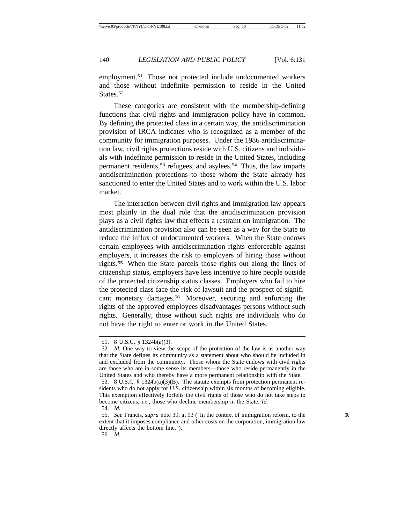employment.<sup>51</sup> Those not protected include undocumented workers and those without indefinite permission to reside in the United States.<sup>52</sup>

These categories are consistent with the membership-defining functions that civil rights and immigration policy have in common. By defining the protected class in a certain way, the antidiscrimination provision of IRCA indicates who is recognized as a member of the community for immigration purposes. Under the 1986 antidiscrimination law, civil rights protections reside with U.S. citizens and individuals with indefinite permission to reside in the United States, including permanent residents,53 refugees, and asylees.54 Thus, the law imparts antidiscrimination protections to those whom the State already has sanctioned to enter the United States and to work within the U.S. labor market.

The interaction between civil rights and immigration law appears most plainly in the dual role that the antidiscrimination provision plays as a civil rights law that effects a restraint on immigration. The antidiscrimination provision also can be seen as a way for the State to reduce the influx of undocumented workers. When the State endows certain employees with antidiscrimination rights enforceable against employers, it increases the risk to employers of hiring those without rights.55 When the State parcels those rights out along the lines of citizenship status, employers have less incentive to hire people outside of the protected citizenship status classes. Employers who fail to hire the protected class face the risk of lawsuit and the prospect of significant monetary damages.56 Moreover, securing and enforcing the rights of the approved employees disadvantages persons without such rights. Generally, those without such rights are individuals who do not have the right to enter or work in the United States.

<sup>51. 8</sup> U.S.C. § 1324b(a)(3).

<sup>52.</sup> *Id.* One way to view the scope of the protection of the law is as another way that the State defines its community as a statement about who should be included in and excluded from the community. Those whom the State endows with civil rights are those who are in some sense its members—those who reside permanently in the United States and who thereby have a more permanent relationship with the State.

<sup>53. 8</sup> U.S.C. § 1324b(a)(3)(B). The statute exempts from protection permanent residents who do not apply for U.S. citizenship within six months of becoming eligible. This exemption effectively forfeits the civil rights of those who do not take steps to become citizens, i.e., those who decline membership in the State. *Id.*

<sup>54.</sup> *Id.*

<sup>55.</sup> *See* Francis, *supra* note 39, at 93 ("In the context of immigration reform, to the extent that it imposes compliance and other costs on the corporation, immigration law directly affects the bottom line.").

<sup>56.</sup> *Id.*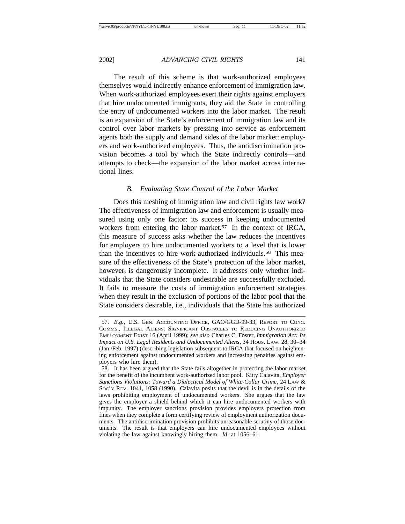The result of this scheme is that work-authorized employees themselves would indirectly enhance enforcement of immigration law. When work-authorized employees exert their rights against employers that hire undocumented immigrants, they aid the State in controlling the entry of undocumented workers into the labor market. The result is an expansion of the State's enforcement of immigration law and its control over labor markets by pressing into service as enforcement agents both the supply and demand sides of the labor market: employers and work-authorized employees. Thus, the antidiscrimination provision becomes a tool by which the State indirectly controls—and attempts to check—the expansion of the labor market across international lines.

# *B. Evaluating State Control of the Labor Market*

Does this meshing of immigration law and civil rights law work? The effectiveness of immigration law and enforcement is usually measured using only one factor: its success in keeping undocumented workers from entering the labor market.<sup>57</sup> In the context of IRCA, this measure of success asks whether the law reduces the incentives for employers to hire undocumented workers to a level that is lower than the incentives to hire work-authorized individuals.58 This measure of the effectiveness of the State's protection of the labor market, however, is dangerously incomplete. It addresses only whether individuals that the State considers undesirable are successfully excluded. It fails to measure the costs of immigration enforcement strategies when they result in the exclusion of portions of the labor pool that the State considers desirable, i.e., individuals that the State has authorized

<sup>57.</sup> *E.g.*, U.S. GEN. ACCOUNTING OFFICE, GAO/GGD-99-33, REPORT TO CONG. COMMS., ILLEGAL ALIENS: SIGNIFICANT OBSTACLES TO REDUCING UNAUTHORIZED EMPLOYMENT EXIST 16 (April 1999); *see also* Charles C. Foster, *Immigration Act: Its Impact on U.S. Legal Residents and Undocumented Aliens*, 34 HOUS. LAW. 28, 30–34 (Jan./Feb. 1997) (describing legislation subsequent to IRCA that focused on heightening enforcement against undocumented workers and increasing penalties against employers who hire them).

<sup>58.</sup> It has been argued that the State fails altogether in protecting the labor market for the benefit of the incumbent work-authorized labor pool. Kitty Calavita, *Employer Sanctions Violations: Toward a Dialectical Model of White-Collar Crime*, 24 LAW & SOC'Y REV. 1041, 1058 (1990). Calavita posits that the devil is in the details of the laws prohibiting employment of undocumented workers. She argues that the law gives the employer a shield behind which it can hire undocumented workers with impunity. The employer sanctions provision provides employers protection from fines when they complete a form certifying review of employment authorization documents. The antidiscrimination provision prohibits unreasonable scrutiny of those documents. The result is that employers can hire undocumented employees without violating the law against knowingly hiring them. *Id*. at 1056–61.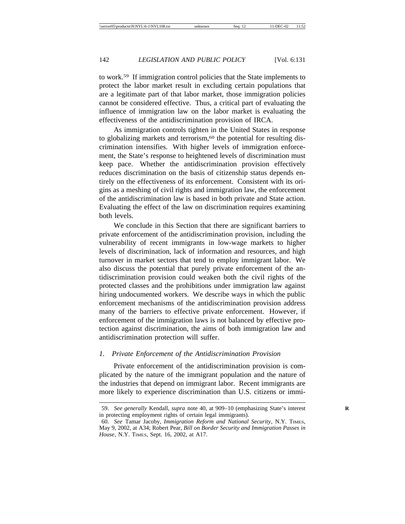to work.59 If immigration control policies that the State implements to protect the labor market result in excluding certain populations that are a legitimate part of that labor market, those immigration policies cannot be considered effective. Thus, a critical part of evaluating the influence of immigration law on the labor market is evaluating the effectiveness of the antidiscrimination provision of IRCA.

As immigration controls tighten in the United States in response to globalizing markets and terrorism,<sup>60</sup> the potential for resulting discrimination intensifies. With higher levels of immigration enforcement, the State's response to heightened levels of discrimination must keep pace. Whether the antidiscrimination provision effectively reduces discrimination on the basis of citizenship status depends entirely on the effectiveness of its enforcement. Consistent with its origins as a meshing of civil rights and immigration law, the enforcement of the antidiscrimination law is based in both private and State action. Evaluating the effect of the law on discrimination requires examining both levels.

We conclude in this Section that there are significant barriers to private enforcement of the antidiscrimination provision, including the vulnerability of recent immigrants in low-wage markets to higher levels of discrimination, lack of information and resources, and high turnover in market sectors that tend to employ immigrant labor. We also discuss the potential that purely private enforcement of the antidiscrimination provision could weaken both the civil rights of the protected classes and the prohibitions under immigration law against hiring undocumented workers. We describe ways in which the public enforcement mechanisms of the antidiscrimination provision address many of the barriers to effective private enforcement. However, if enforcement of the immigration laws is not balanced by effective protection against discrimination, the aims of both immigration law and antidiscrimination protection will suffer.

#### *1. Private Enforcement of the Antidiscrimination Provision*

Private enforcement of the antidiscrimination provision is complicated by the nature of the immigrant population and the nature of the industries that depend on immigrant labor. Recent immigrants are more likely to experience discrimination than U.S. citizens or immi-

<sup>59.</sup> See generally Kendall, *supra* note 40, at 909-10 (emphasizing State's interest in protecting employment rights of certain legal immigrants).

<sup>60.</sup> *See* Tamar Jacoby, *Immigration Reform and National Security*, N.Y. TIMES, May 9, 2002, at A34; Robert Pear, *Bill on Border Security and Immigration Passes in House*, N.Y. TIMES, Sept. 16, 2002, at A17.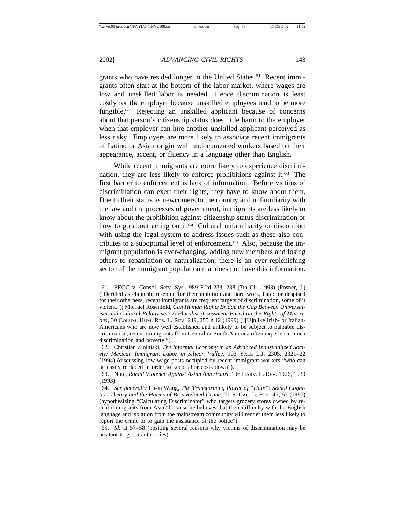grants who have resided longer in the United States.<sup>61</sup> Recent immigrants often start at the bottom of the labor market, where wages are low and unskilled labor is needed. Hence discrimination is least costly for the employer because unskilled employees tend to be more fungible.62 Rejecting an unskilled applicant because of concerns about that person's citizenship status does little harm to the employer when that employer can hire another unskilled applicant perceived as less risky. Employers are more likely to associate recent immigrants of Latino or Asian origin with undocumented workers based on their appearance, accent, or fluency in a language other than English.

While recent immigrants are more likely to experience discrimination, they are less likely to enforce prohibitions against it.63 The first barrier to enforcement is lack of information. Before victims of discrimination can exert their rights, they have to know about them. Due to their status as newcomers to the country and unfamiliarity with the law and the processes of government, immigrants are less likely to know about the prohibition against citizenship status discrimination or how to go about acting on it.<sup>64</sup> Cultural unfamiliarity or discomfort with using the legal system to address issues such as these also contributes to a suboptimal level of enforcement.65 Also, because the immigrant population is ever-changing, adding new members and losing others to repatriation or naturalization, there is an ever-replenishing sector of the immigrant population that does not have this information.

<sup>61.</sup> EEOC v. Consol. Serv. Sys., 989 F.2d 233, 238 (7th Cir. 1993) (Posner, J.) ("Derided as clannish, resented for their ambition and hard work, hated or despised for their otherness, recent immigrants are frequent targets of discrimination, some of it violent."); Michael Rosenfeld, *Can Human Rights Bridge the Gap Between Universalism and Cultural Relativism? A Pluralist Assessment Based on the Rights of Minorities*, 30 COLUM. HUM. RTS. L. REV. 249, 255 n.12 (1999) ("[U]nlike Irish- or Italian-Americans who are now well established and unlikely to be subject to palpable discrimination, recent immigrants from Central or South America often experience much discrimination and poverty.").

<sup>62.</sup> Christian Zlolniski, *The Informal Economy in an Advanced Industrialized Society: Mexican Immigrant Labor in Silicon Valley*, 103 YALE L.J. 2305, 2321–22 (1994) (discussing low-wage posts occupied by recent immigrant workers "who can be easily replaced in order to keep labor costs down").

<sup>63.</sup> Note, *Racial Violence Against Asian Americans*, 106 HARV. L. REV. 1926, 1930 (1993).

<sup>64.</sup> *See generally* Lu-in Wang, *The Transforming Power of "Hate": Social Cognition Theory and the Harms of Bias-Related Crime*, 71 S. CAL. L. REV. 47, 57 (1997) (hypothesizing "Calculating Discriminator" who targets grocery stores owned by recent immigrants from Asia "because he believes that their difficulty with the English language and isolation from the mainstream community will render them less likely to report the crime or to gain the assistance of the police").

<sup>65.</sup> *Id.* at 57–58 (positing several reasons why victims of discrimination may be hesitant to go to authorities).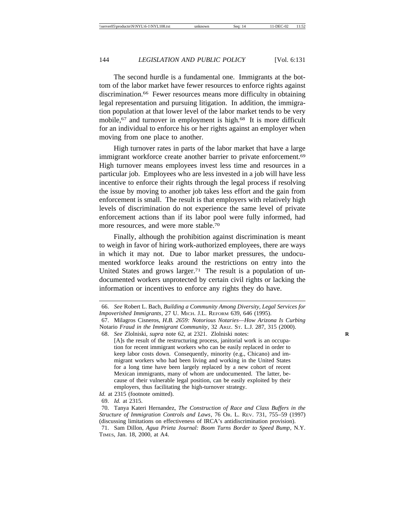The second hurdle is a fundamental one. Immigrants at the bottom of the labor market have fewer resources to enforce rights against discrimination.66 Fewer resources means more difficulty in obtaining legal representation and pursuing litigation. In addition, the immigration population at that lower level of the labor market tends to be very mobile,<sup>67</sup> and turnover in employment is high.<sup>68</sup> It is more difficult for an individual to enforce his or her rights against an employer when moving from one place to another.

High turnover rates in parts of the labor market that have a large immigrant workforce create another barrier to private enforcement.<sup>69</sup> High turnover means employees invest less time and resources in a particular job. Employees who are less invested in a job will have less incentive to enforce their rights through the legal process if resolving the issue by moving to another job takes less effort and the gain from enforcement is small. The result is that employers with relatively high levels of discrimination do not experience the same level of private enforcement actions than if its labor pool were fully informed, had more resources, and were more stable.70

Finally, although the prohibition against discrimination is meant to weigh in favor of hiring work-authorized employees, there are ways in which it may not. Due to labor market pressures, the undocumented workforce leaks around the restrictions on entry into the United States and grows larger.<sup>71</sup> The result is a population of undocumented workers unprotected by certain civil rights or lacking the information or incentives to enforce any rights they do have.

68. *See* Zlolniski, *supra* note 62, at 2321. Zlolniski notes: **R** [A]s the result of the restructuring process, janitorial work is an occupation for recent immigrant workers who can be easily replaced in order to keep labor costs down. Consequently, minority (e.g., Chicano) and immigrant workers who had been living and working in the United States for a long time have been largely replaced by a new cohort of recent Mexican immigrants, many of whom are undocumented. The latter, because of their vulnerable legal position, can be easily exploited by their employers, thus facilitating the high-turnover strategy.

<sup>66.</sup> *See* Robert L. Bach, *Building a Community Among Diversity, Legal Services for Impoverished Immigrants*, 27 U. MICH. J.L. REFORM 639, 646 (1995).

<sup>67.</sup> Milagros Cisneros, *H.B. 2659: Notorious Notaries—How Arizona Is Curbing* Notario *Fraud in the Immigrant Community*, 32 ARIZ. ST. L.J. 287, 315 (2000).

*Id.* at 2315 (footnote omitted).

<sup>69.</sup> *Id.* at 2315.

<sup>70.</sup> Tanya Kateri Hernandez, *The Construction of Race and Class Buffers in the Structure of Immigration Controls and Laws*, 76 OR. L. REV. 731, 755–59 (1997) (discussing limitations on effectiveness of IRCA's antidiscrimination provision).

<sup>71.</sup> Sam Dillon, *Agua Prieta Journal: Boom Turns Border to Speed Bump*, N.Y. TIMES, Jan. 18, 2000, at A4.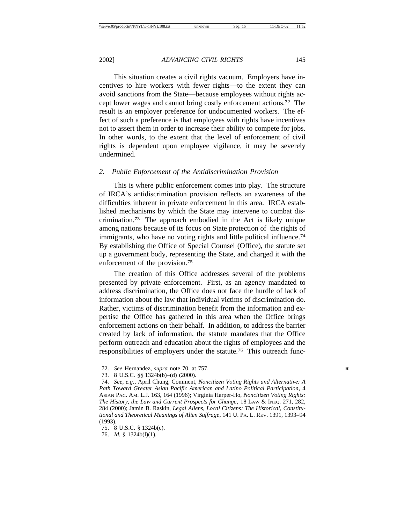This situation creates a civil rights vacuum. Employers have incentives to hire workers with fewer rights—to the extent they can avoid sanctions from the State—because employees without rights accept lower wages and cannot bring costly enforcement actions.72 The result is an employer preference for undocumented workers. The effect of such a preference is that employees with rights have incentives not to assert them in order to increase their ability to compete for jobs. In other words, to the extent that the level of enforcement of civil rights is dependent upon employee vigilance, it may be severely undermined.

#### *2. Public Enforcement of the Antidiscrimination Provision*

This is where public enforcement comes into play. The structure of IRCA's antidiscrimination provision reflects an awareness of the difficulties inherent in private enforcement in this area. IRCA established mechanisms by which the State may intervene to combat discrimination.73 The approach embodied in the Act is likely unique among nations because of its focus on State protection of the rights of immigrants, who have no voting rights and little political influence.<sup>74</sup> By establishing the Office of Special Counsel (Office), the statute set up a government body, representing the State, and charged it with the enforcement of the provision.75

The creation of this Office addresses several of the problems presented by private enforcement. First, as an agency mandated to address discrimination, the Office does not face the hurdle of lack of information about the law that individual victims of discrimination do. Rather, victims of discrimination benefit from the information and expertise the Office has gathered in this area when the Office brings enforcement actions on their behalf. In addition, to address the barrier created by lack of information, the statute mandates that the Office perform outreach and education about the rights of employees and the responsibilities of employers under the statute.76 This outreach func-

<sup>72.</sup> *See* Hernandez, *supra* note 70, at 757. **R**

<sup>73. 8</sup> U.S.C. §§ 1324b(b)–(d) (2000).

<sup>74.</sup> *See, e.g.*, April Chung, Comment, *Noncitizen Voting Rights and Alternative: A Path Toward Greater Asian Pacific American and Latino Political Participation*, 4 ASIAN PAC. AM. L.J. 163, 164 (1996); Virginia Harper-Ho, *Noncitizen Voting Rights: The History, the Law and Current Prospects for Change*, 18 LAW & INEQ. 271, 282, 284 (2000); Jamin B. Raskin, *Legal Aliens, Local Citizens: The Historical, Constitutional and Theoretical Meanings of Alien Suffrage*, 141 U. PA. L. REV. 1391, 1393–94 (1993).

<sup>75. 8</sup> U.S.C. § 1324b(c).

<sup>76.</sup> *Id.* § 1324b(l)(1).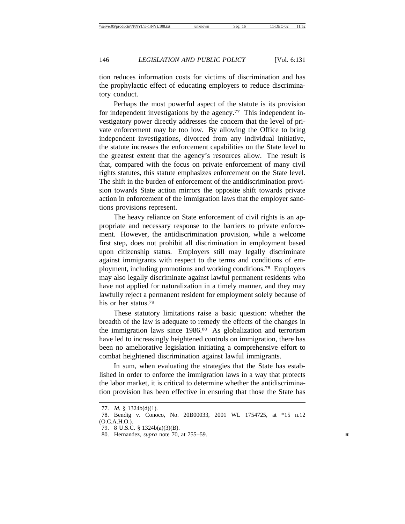tion reduces information costs for victims of discrimination and has the prophylactic effect of educating employers to reduce discriminatory conduct.

Perhaps the most powerful aspect of the statute is its provision for independent investigations by the agency.<sup>77</sup> This independent investigatory power directly addresses the concern that the level of private enforcement may be too low. By allowing the Office to bring independent investigations, divorced from any individual initiative, the statute increases the enforcement capabilities on the State level to the greatest extent that the agency's resources allow. The result is that, compared with the focus on private enforcement of many civil rights statutes, this statute emphasizes enforcement on the State level. The shift in the burden of enforcement of the antidiscrimination provision towards State action mirrors the opposite shift towards private action in enforcement of the immigration laws that the employer sanctions provisions represent.

The heavy reliance on State enforcement of civil rights is an appropriate and necessary response to the barriers to private enforcement. However, the antidiscrimination provision, while a welcome first step, does not prohibit all discrimination in employment based upon citizenship status. Employers still may legally discriminate against immigrants with respect to the terms and conditions of employment, including promotions and working conditions.78 Employers may also legally discriminate against lawful permanent residents who have not applied for naturalization in a timely manner, and they may lawfully reject a permanent resident for employment solely because of his or her status.79

These statutory limitations raise a basic question: whether the breadth of the law is adequate to remedy the effects of the changes in the immigration laws since 1986.80 As globalization and terrorism have led to increasingly heightened controls on immigration, there has been no ameliorative legislation initiating a comprehensive effort to combat heightened discrimination against lawful immigrants.

In sum, when evaluating the strategies that the State has established in order to enforce the immigration laws in a way that protects the labor market, it is critical to determine whether the antidiscrimination provision has been effective in ensuring that those the State has

<sup>77.</sup> *Id.* § 1324b(d)(1).

<sup>78.</sup> Bendig v. Conoco, No. 20B00033, 2001 WL 1754725, at \*15 n.12 (O.C.A.H.O.).

<sup>79. 8</sup> U.S.C. § 1324b(a)(3)(B).

<sup>80.</sup> Hernandez, *supra* note 70, at 755–59. **R**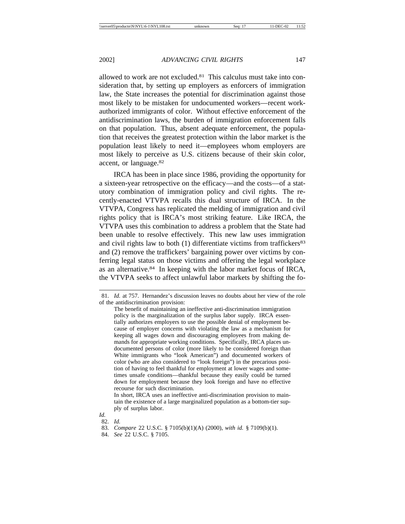allowed to work are not excluded.81 This calculus must take into consideration that, by setting up employers as enforcers of immigration law, the State increases the potential for discrimination against those most likely to be mistaken for undocumented workers—recent workauthorized immigrants of color. Without effective enforcement of the antidiscrimination laws, the burden of immigration enforcement falls on that population. Thus, absent adequate enforcement, the population that receives the greatest protection within the labor market is the population least likely to need it—employees whom employers are most likely to perceive as U.S. citizens because of their skin color, accent, or language.82

IRCA has been in place since 1986, providing the opportunity for a sixteen-year retrospective on the efficacy—and the costs—of a statutory combination of immigration policy and civil rights. The recently-enacted VTVPA recalls this dual structure of IRCA. In the VTVPA, Congress has replicated the melding of immigration and civil rights policy that is IRCA's most striking feature. Like IRCA, the VTVPA uses this combination to address a problem that the State had been unable to resolve effectively. This new law uses immigration and civil rights law to both  $(1)$  differentiate victims from traffickers<sup>83</sup> and (2) remove the traffickers' bargaining power over victims by conferring legal status on those victims and offering the legal workplace as an alternative.84 In keeping with the labor market focus of IRCA, the VTVPA seeks to affect unlawful labor markets by shifting the fo-

In short, IRCA uses an ineffective anti-discrimination provision to maintain the existence of a large marginalized population as a bottom-tier supply of surplus labor.

- *Id.*
- 82. *Id.*

84. *See* 22 U.S.C. § 7105.

<sup>81.</sup> *Id.* at 757. Hernandez's discussion leaves no doubts about her view of the role of the antidiscrimination provision:

The benefit of maintaining an ineffective anti-discrimination immigration policy is the marginalization of the surplus labor supply. IRCA essentially authorizes employers to use the possible denial of employment because of employer concerns with violating the law as a mechanism for keeping all wages down and discouraging employees from making demands for appropriate working conditions. Specifically, IRCA places undocumented persons of color (more likely to be considered foreign than White immigrants who "look American") and documented workers of color (who are also considered to "look foreign") in the precarious position of having to feel thankful for employment at lower wages and sometimes unsafe conditions—thankful because they easily could be turned down for employment because they look foreign and have no effective recourse for such discrimination.

<sup>83.</sup> *Compare* 22 U.S.C. § 7105(b)(1)(A) (2000), *with id.* § 7109(b)(1).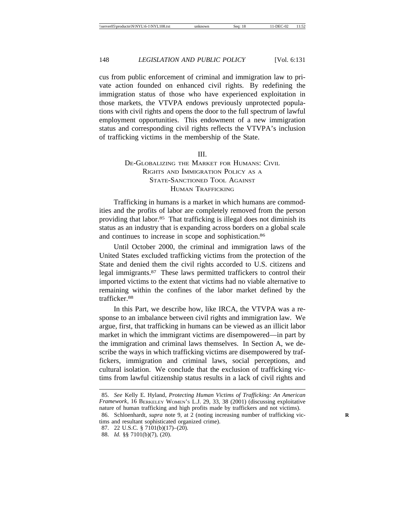cus from public enforcement of criminal and immigration law to private action founded on enhanced civil rights. By redefining the immigration status of those who have experienced exploitation in those markets, the VTVPA endows previously unprotected populations with civil rights and opens the door to the full spectrum of lawful employment opportunities. This endowment of a new immigration status and corresponding civil rights reflects the VTVPA's inclusion of trafficking victims in the membership of the State.

#### III.

# DE-GLOBALIZING THE MARKET FOR HUMANS: CIVIL RIGHTS AND IMMIGRATION POLICY AS A STATE-SANCTIONED TOOL AGAINST HUMAN TRAFFICKING

Trafficking in humans is a market in which humans are commodities and the profits of labor are completely removed from the person providing that labor.85 That trafficking is illegal does not diminish its status as an industry that is expanding across borders on a global scale and continues to increase in scope and sophistication.86

Until October 2000, the criminal and immigration laws of the United States excluded trafficking victims from the protection of the State and denied them the civil rights accorded to U.S. citizens and legal immigrants.87 These laws permitted traffickers to control their imported victims to the extent that victims had no viable alternative to remaining within the confines of the labor market defined by the trafficker.88

In this Part, we describe how, like IRCA, the VTVPA was a response to an imbalance between civil rights and immigration law. We argue, first, that trafficking in humans can be viewed as an illicit labor market in which the immigrant victims are disempowered—in part by the immigration and criminal laws themselves. In Section A, we describe the ways in which trafficking victims are disempowered by traffickers, immigration and criminal laws, social perceptions, and cultural isolation. We conclude that the exclusion of trafficking victims from lawful citizenship status results in a lack of civil rights and

<sup>85.</sup> *See* Kelly E. Hyland, *Protecting Human Victims of Trafficking: An American Framework*, 16 BERKELEY WOMEN'S L.J. 29, 33, 38 (2001) (discussing exploitative nature of human trafficking and high profits made by traffickers and not victims).

<sup>86.</sup> Schloenhardt, *supra* note 9, at 2 (noting increasing number of trafficking victims and resultant sophisticated organized crime).

<sup>87. 22</sup> U.S.C. § 7101(b)(17)–(20).

<sup>88.</sup> *Id.* §§ 7101(b)(7), (20).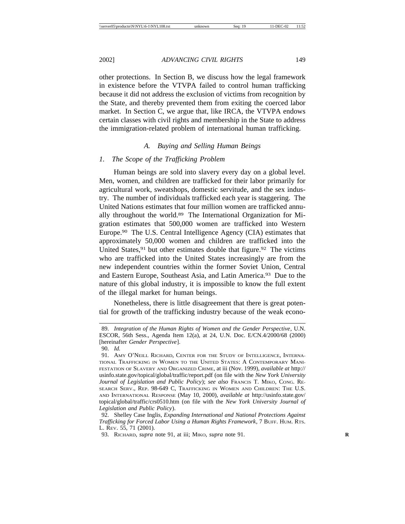other protections. In Section B, we discuss how the legal framework in existence before the VTVPA failed to control human trafficking because it did not address the exclusion of victims from recognition by the State, and thereby prevented them from exiting the coerced labor market. In Section C, we argue that, like IRCA, the VTVPA endows certain classes with civil rights and membership in the State to address the immigration-related problem of international human trafficking.

#### *A. Buying and Selling Human Beings*

#### *1. The Scope of the Trafficking Problem*

Human beings are sold into slavery every day on a global level. Men, women, and children are trafficked for their labor primarily for agricultural work, sweatshops, domestic servitude, and the sex industry. The number of individuals trafficked each year is staggering. The United Nations estimates that four million women are trafficked annually throughout the world.89 The International Organization for Migration estimates that 500,000 women are trafficked into Western Europe.90 The U.S. Central Intelligence Agency (CIA) estimates that approximately 50,000 women and children are trafficked into the United States,  $91$  but other estimates double that figure.  $92$  The victims who are trafficked into the United States increasingly are from the new independent countries within the former Soviet Union, Central and Eastern Europe, Southeast Asia, and Latin America.93 Due to the nature of this global industry, it is impossible to know the full extent of the illegal market for human beings.

Nonetheless, there is little disagreement that there is great potential for growth of the trafficking industry because of the weak econo-

<sup>89.</sup> *Integration of the Human Rights of Women and the Gender Perspective*, U.N. ESCOR, 56th Sess., Agenda Item 12(a), at 24, U.N. Doc. E/CN.4/2000/68 (2000) [hereinafter *Gender Perspective*].

<sup>90.</sup> *Id.*

<sup>91.</sup> AMY O'NEILL RICHARD, CENTER FOR THE STUDY OF INTELLIGENCE, INTERNA-TIONAL TRAFFICKING IN WOMEN TO THE UNITED STATES: A CONTEMPORARY MANI-FESTATION OF SLAVERY AND ORGANIZED CRIME, at iii (Nov. 1999), *available at* http:// usinfo.state.gov/topical/global/traffic/report.pdf (on file with the *New York University Journal of Legislation and Public Policy*); *see also* FRANCIS T. MIKO, CONG. RE-SEARCH SERV., REP. 98-649 C, TRAFFICKING IN WOMEN AND CHILDREN: THE U.S. AND INTERNATIONAL RESPONSE (May 10, 2000), *available at* http://usinfo.state.gov/ topical/global/traffic/crs0510.htm (on file with the *New York University Journal of Legislation and Public Policy*).

<sup>92.</sup> Shelley Case Inglis, *Expanding International and National Protections Against Trafficking for Forced Labor Using a Human Rights Framework*, 7 BUFF. HUM. RTS. L. REV. 55, 71 (2001).

<sup>93.</sup> RICHARD, *supra* note 91, at iii; MIKO, *supra* note 91. **R**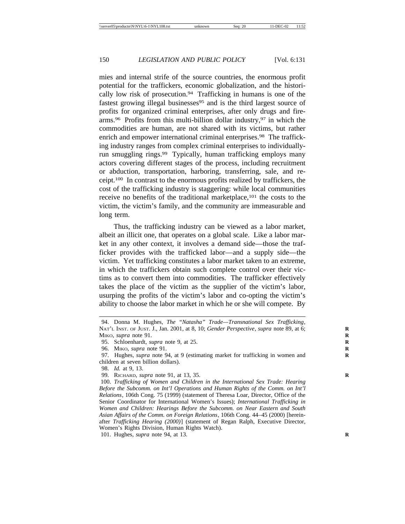mies and internal strife of the source countries, the enormous profit potential for the traffickers, economic globalization, and the historically low risk of prosecution.94 Trafficking in humans is one of the fastest growing illegal businesses $95$  and is the third largest source of profits for organized criminal enterprises, after only drugs and firearms.<sup>96</sup> Profits from this multi-billion dollar industry,<sup>97</sup> in which the commodities are human, are not shared with its victims, but rather enrich and empower international criminal enterprises.<sup>98</sup> The trafficking industry ranges from complex criminal enterprises to individuallyrun smuggling rings.99 Typically, human trafficking employs many actors covering different stages of the process, including recruitment or abduction, transportation, harboring, transferring, sale, and receipt.100 In contrast to the enormous profits realized by traffickers, the cost of the trafficking industry is staggering: while local communities receive no benefits of the traditional marketplace,<sup>101</sup> the costs to the victim, the victim's family, and the community are immeasurable and long term.

Thus, the trafficking industry can be viewed as a labor market, albeit an illicit one, that operates on a global scale. Like a labor market in any other context, it involves a demand side—those the trafficker provides with the trafficked labor—and a supply side—the victim. Yet trafficking constitutes a labor market taken to an extreme, in which the traffickers obtain such complete control over their victims as to convert them into commodities. The trafficker effectively takes the place of the victim as the supplier of the victim's labor, usurping the profits of the victim's labor and co-opting the victim's ability to choose the labor market in which he or she will compete. By

101. Hughes, *supra* note 94, at 13. **R**

<sup>94.</sup> Donna M. Hughes, *The "Natasha" Trade—Transnational Sex Trafficking*, NAT'L INST. OF JUST. J., Jan. 2001, at 8, 10; *Gender Perspective*, *supra* note 89, at 6; **R** MIKO, *supra* note 91.

<sup>95.</sup> Schloenhardt, *supra* note 9, at 25. **R**

<sup>96.</sup> MIKO, *supra* note 91. **R**

<sup>97.</sup> Hughes, *supra* note 94, at 9 (estimating market for trafficking in women and **R** children at seven billion dollars).

<sup>98.</sup> *Id.* at 9, 13.

<sup>99.</sup> RICHARD, *supra* note 91, at 13, 35. **R**

<sup>100.</sup> *Trafficking of Women and Children in the International Sex Trade: Hearing Before the Subcomm. on Int'l Operations and Human Rights of the Comm. on Int'l Relations*, 106th Cong. 75 (1999) (statement of Theresa Loar, Director, Office of the Senior Coordinator for International Women's Issues); *International Trafficking in Women and Children: Hearings Before the Subcomm. on Near Eastern and South Asian Affairs of the Comm. on Foreign Relations*, 106th Cong. 44–45 (2000) [hereinafter *Trafficking Hearing (2000)*] (statement of Regan Ralph, Executive Director, Women's Rights Division, Human Rights Watch).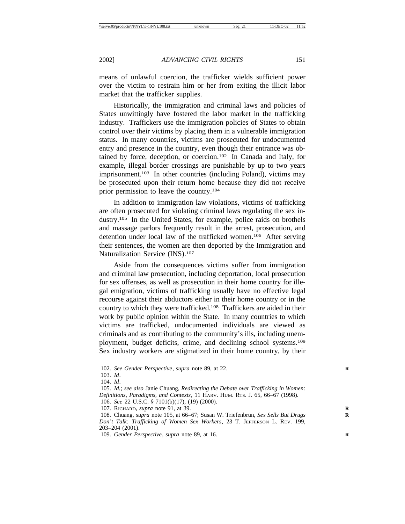means of unlawful coercion, the trafficker wields sufficient power over the victim to restrain him or her from exiting the illicit labor market that the trafficker supplies.

Historically, the immigration and criminal laws and policies of States unwittingly have fostered the labor market in the trafficking industry. Traffickers use the immigration policies of States to obtain control over their victims by placing them in a vulnerable immigration status. In many countries, victims are prosecuted for undocumented entry and presence in the country, even though their entrance was obtained by force, deception, or coercion.102 In Canada and Italy, for example, illegal border crossings are punishable by up to two years imprisonment.<sup>103</sup> In other countries (including Poland), victims may be prosecuted upon their return home because they did not receive prior permission to leave the country.104

In addition to immigration law violations, victims of trafficking are often prosecuted for violating criminal laws regulating the sex industry.105 In the United States, for example, police raids on brothels and massage parlors frequently result in the arrest, prosecution, and detention under local law of the trafficked women.106 After serving their sentences, the women are then deported by the Immigration and Naturalization Service (INS).107

Aside from the consequences victims suffer from immigration and criminal law prosecution, including deportation, local prosecution for sex offenses, as well as prosecution in their home country for illegal emigration, victims of trafficking usually have no effective legal recourse against their abductors either in their home country or in the country to which they were trafficked.108 Traffickers are aided in their work by public opinion within the State. In many countries to which victims are trafficked, undocumented individuals are viewed as criminals and as contributing to the community's ills, including unemployment, budget deficits, crime, and declining school systems.109 Sex industry workers are stigmatized in their home country, by their

<sup>102.</sup> *See Gender Perspective*, *supra* note 89, at 22.

<sup>103.</sup> *Id*.

<sup>104.</sup> *Id*.

<sup>105.</sup> *Id.*; *see also* Janie Chuang, *Redirecting the Debate over Trafficking in Women: Definitions, Paradigms, and Contexts*, 11 HARV. HUM. RTS. J. 65, 66–67 (1998). 106. *See* 22 U.S.C. § 7101(b)(17), (19) (2000).

<sup>107.</sup> RICHARD, *supra* note 91, at 39. **R**

<sup>108.</sup> Chuang, *supra* note 105, at 66–67; Susan W. Triefenbrun, *Sex Sells But Drugs* **R** *Don't Talk: Trafficking of Women Sex Workers*, 23 T. JEFFERSON L. REV. 199, 203–204 (2001).

<sup>109.</sup> *Gender Perspective*, *supra* note 89, at 16. **R**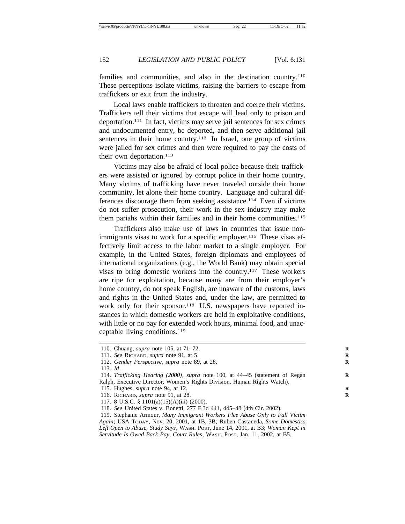families and communities, and also in the destination country.<sup>110</sup> These perceptions isolate victims, raising the barriers to escape from traffickers or exit from the industry.

Local laws enable traffickers to threaten and coerce their victims. Traffickers tell their victims that escape will lead only to prison and deportation.111 In fact, victims may serve jail sentences for sex crimes and undocumented entry, be deported, and then serve additional jail sentences in their home country.<sup>112</sup> In Israel, one group of victims were jailed for sex crimes and then were required to pay the costs of their own deportation.<sup>113</sup>

Victims may also be afraid of local police because their traffickers were assisted or ignored by corrupt police in their home country. Many victims of trafficking have never traveled outside their home community, let alone their home country. Language and cultural differences discourage them from seeking assistance.114 Even if victims do not suffer prosecution, their work in the sex industry may make them pariahs within their families and in their home communities.<sup>115</sup>

Traffickers also make use of laws in countries that issue nonimmigrants visas to work for a specific employer.<sup>116</sup> These visas effectively limit access to the labor market to a single employer. For example, in the United States, foreign diplomats and employees of international organizations (e.g., the World Bank) may obtain special visas to bring domestic workers into the country.117 These workers are ripe for exploitation, because many are from their employer's home country, do not speak English, are unaware of the customs, laws and rights in the United States and, under the law, are permitted to work only for their sponsor.<sup>118</sup> U.S. newspapers have reported instances in which domestic workers are held in exploitative conditions, with little or no pay for extended work hours, minimal food, and unacceptable living conditions.119

<sup>110.</sup> Chuang, *supra* note 105, at 71–72. **R**

<sup>111.</sup> *See* RICHARD, *supra* note 91, at 5. **R**

<sup>112.</sup> *Gender Perspective*, *supra* note 89, at 28.

<sup>113.</sup> *Id*.

<sup>114.</sup> *Trafficking Hearing (2000)*, *supra* note 100, at 44-45 (statement of Regan Ralph, Executive Director, Women's Rights Division, Human Rights Watch).

<sup>115.</sup> Hughes, *supra* note 94, at 12. **R**

<sup>116.</sup> RICHARD, *supra* note 91, at 28. **R**

<sup>117. 8</sup> U.S.C. § 1101(a)(15)(A)(iii) (2000).

<sup>118.</sup> *See* United States v. Bonetti, 277 F.3d 441, 445–48 (4th Cir. 2002).

<sup>119.</sup> Stephanie Armour, *Many Immigrant Workers Flee Abuse Only to Fall Victim Again*; USA TODAY, Nov. 20, 2001, at 1B, 3B; Ruben Castaneda, *Some Domestics Left Open to Abuse, Study Says*, WASH. POST, June 14, 2001, at B3; *Woman Kept in Servitude Is Owed Back Pay, Court Rules*, WASH. POST, Jan. 11, 2002, at B5.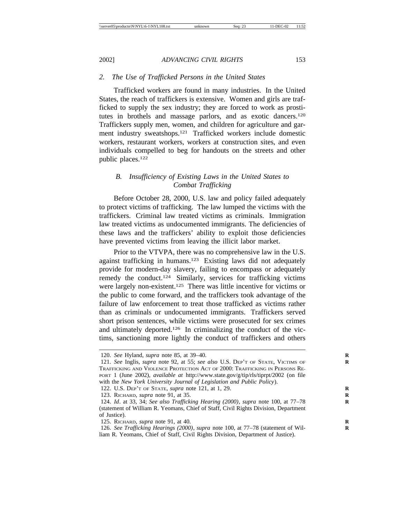# *2. The Use of Trafficked Persons in the United States*

Trafficked workers are found in many industries. In the United States, the reach of traffickers is extensive. Women and girls are trafficked to supply the sex industry; they are forced to work as prostitutes in brothels and massage parlors, and as exotic dancers.120 Traffickers supply men, women, and children for agriculture and garment industry sweatshops.121 Trafficked workers include domestic workers, restaurant workers, workers at construction sites, and even individuals compelled to beg for handouts on the streets and other public places.122

## *B. Insufficiency of Existing Laws in the United States to Combat Trafficking*

Before October 28, 2000, U.S. law and policy failed adequately to protect victims of trafficking. The law lumped the victims with the traffickers. Criminal law treated victims as criminals. Immigration law treated victims as undocumented immigrants. The deficiencies of these laws and the traffickers' ability to exploit those deficiencies have prevented victims from leaving the illicit labor market.

Prior to the VTVPA, there was no comprehensive law in the U.S. against trafficking in humans.123 Existing laws did not adequately provide for modern-day slavery, failing to encompass or adequately remedy the conduct.124 Similarly, services for trafficking victims were largely non-existent.<sup>125</sup> There was little incentive for victims or the public to come forward, and the traffickers took advantage of the failure of law enforcement to treat those trafficked as victims rather than as criminals or undocumented immigrants. Traffickers served short prison sentences, while victims were prosecuted for sex crimes and ultimately deported.126 In criminalizing the conduct of the victims, sanctioning more lightly the conduct of traffickers and others

<sup>120.</sup> *See* Hyland, *supra* note 85, at 39–40. **R**

<sup>121.</sup> *See* Inglis, *supra* note 92, at 55; *see also* U.S. DEP'T OF STATE, VICTIMS OF **R** TRAFFICKING AND VIOLENCE PROTECTION ACT OF 2000: TRAFFICKING IN PERSONS RE-PORT 1 (June 2002), *available at* http://www.state.gov/g/tip/rls/tiprpt/2002 (on file with the *New York University Journal of Legislation and Public Policy*).

<sup>122.</sup> U.S. DEP'T OF STATE, *supra* note 121, at 1, 29. **R**

<sup>123.</sup> RICHARD, *supra* note 91, at 35. **R**

<sup>124.</sup> *Id*. at 33, 34; *See also Trafficking Hearing (2000)*, *supra* note 100, at 77–78 **R** (statement of William R. Yeomans, Chief of Staff, Civil Rights Division, Department of Justice).

<sup>125.</sup> RICHARD, *supra* note 91, at 40. **R**

<sup>126.</sup> *See Trafficking Hearings (2000)*, *supra* note 100, at 77-78 (statement of William R. Yeomans, Chief of Staff, Civil Rights Division, Department of Justice).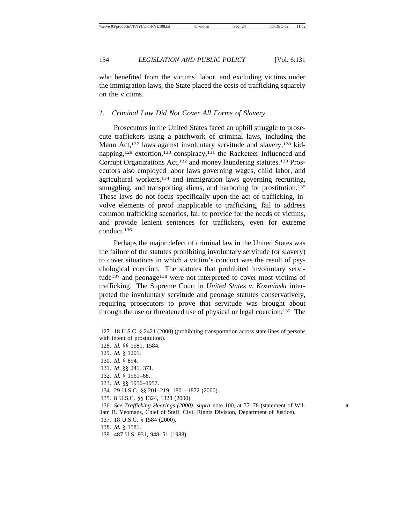who benefited from the victims' labor, and excluding victims under the immigration laws, the State placed the costs of trafficking squarely on the victims.

#### *1. Criminal Law Did Not Cover All Forms of Slavery*

Prosecutors in the United States faced an uphill struggle to prosecute traffickers using a patchwork of criminal laws, including the Mann Act,<sup>127</sup> laws against involuntary servitude and slavery,<sup>128</sup> kidnapping,129 extortion,130 conspiracy,131 the Racketeer Influenced and Corrupt Organizations Act,<sup>132</sup> and money laundering statutes.<sup>133</sup> Prosecutors also employed labor laws governing wages, child labor, and agricultural workers,134 and immigration laws governing recruiting, smuggling, and transporting aliens, and harboring for prostitution.<sup>135</sup> These laws do not focus specifically upon the act of trafficking, involve elements of proof inapplicable to trafficking, fail to address common trafficking scenarios, fail to provide for the needs of victims, and provide lenient sentences for traffickers, even for extreme conduct.136

Perhaps the major defect of criminal law in the United States was the failure of the statutes prohibiting involuntary servitude (or slavery) to cover situations in which a victim's conduct was the result of psychological coercion. The statutes that prohibited involuntary servitude<sup>137</sup> and peonage<sup>138</sup> were not interpreted to cover most victims of trafficking. The Supreme Court in *United States v. Kozminski* interpreted the involuntary servitude and peonage statutes conservatively, requiring prosecutors to prove that servitude was brought about through the use or threatened use of physical or legal coercion.139 The

<sup>127. 18</sup> U.S.C. § 2421 (2000) (prohibiting transportation across state lines of persons with intent of prostitution).

<sup>128.</sup> *Id.* §§ 1581, 1584. 129. *Id.* § 1201. 130. *Id.* § 894. 131. *Id*. §§ 241, 371. 132. *Id.* § 1961–68. 133. *Id.* §§ 1956–1957. 134. 29 U.S.C. §§ 201–219, 1801–1872 (2000). 135. 8 U.S.C. §§ 1324, 1328 (2000). 136. *See Trafficking Hearings (2000)*, *supra* note 100, at 77–78 (statement of Wil- **R** liam R. Yeomans, Chief of Staff, Civil Rights Division, Department of Justice). 137. 18 U.S.C. § 1584 (2000). 138. *Id.* § 1581.

<sup>139. 487</sup> U.S. 931, 948–51 (1988).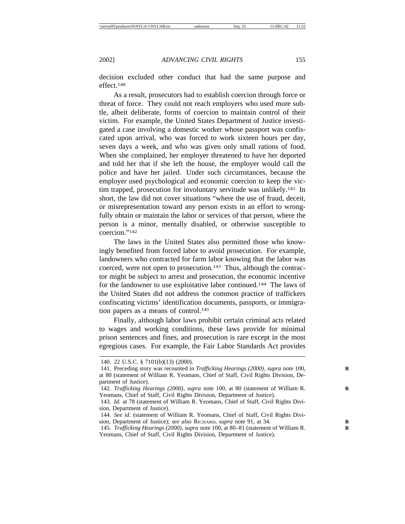decision excluded other conduct that had the same purpose and effect.<sup>140</sup>

As a result, prosecutors had to establish coercion through force or threat of force. They could not reach employers who used more subtle, albeit deliberate, forms of coercion to maintain control of their victim. For example, the United States Department of Justice investigated a case involving a domestic worker whose passport was confiscated upon arrival, who was forced to work sixteen hours per day, seven days a week, and who was given only small rations of food. When she complained, her employer threatened to have her deported and told her that if she left the house, the employer would call the police and have her jailed. Under such circumstances, because the employer used psychological and economic coercion to keep the victim trapped, prosecution for involuntary servitude was unlikely.141 In short, the law did not cover situations "where the use of fraud, deceit, or misrepresentation toward any person exists in an effort to wrongfully obtain or maintain the labor or services of that person, where the person is a minor, mentally disabled, or otherwise susceptible to coercion."142

The laws in the United States also permitted those who knowingly benefited from forced labor to avoid prosecution. For example, landowners who contracted for farm labor knowing that the labor was coerced, were not open to prosecution.<sup>143</sup> Thus, although the contractor might be subject to arrest and prosecution, the economic incentive for the landowner to use exploitative labor continued.144 The laws of the United States did not address the common practice of traffickers confiscating victims' identification documents, passports, or immigration papers as a means of control.<sup>145</sup>

Finally, although labor laws prohibit certain criminal acts related to wages and working conditions, these laws provide for minimal prison sentences and fines, and prosecution is rare except in the most egregious cases. For example, the Fair Labor Standards Act provides

<sup>140. 22</sup> U.S.C. § 7101(b)(13) (2000).

<sup>141.</sup> Preceding story was recounted in *Trafficking Hearings (2000)*, *supra* note 100, **R** at 80 (statement of William R. Yeomans, Chief of Staff, Civil Rights Division, Department of Justice).

<sup>142.</sup> *Trafficking Hearings (2000)*, *supra* note 100, at 80 (statement of William R. **R** Yeomans, Chief of Staff, Civil Rights Division, Department of Justice).

<sup>143.</sup> *Id.* at 78 (statement of William R. Yeomans, Chief of Staff, Civil Rights Division, Department of Justice).

<sup>144.</sup> *See id*. (statement of William R. Yeomans, Chief of Staff, Civil Rights Division, Department of Justice); *see also* RICHARD, *supra* note 91, at 34.

<sup>145.</sup> *Trafficking Hearings (2000), supra* note 100, at 80-81 (statement of William R. Yeomans, Chief of Staff, Civil Rights Division, Department of Justice).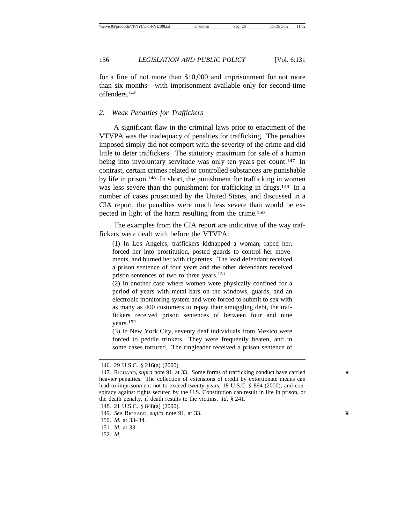for a fine of not more than \$10,000 and imprisonment for not more than six months—with imprisonment available only for second-time offenders.146

#### *2. Weak Penalties for Traffickers*

A significant flaw in the criminal laws prior to enactment of the VTVPA was the inadequacy of penalties for trafficking. The penalties imposed simply did not comport with the severity of the crime and did little to deter traffickers. The statutory maximum for sale of a human being into involuntary servitude was only ten years per count.<sup>147</sup> In contrast, certain crimes related to controlled substances are punishable by life in prison.148 In short, the punishment for trafficking in women was less severe than the punishment for trafficking in drugs.<sup>149</sup> In a number of cases prosecuted by the United States, and discussed in a CIA report, the penalties were much less severe than would be expected in light of the harm resulting from the crime.150

The examples from the CIA report are indicative of the way traffickers were dealt with before the VTVPA:

(1) In Los Angeles, traffickers kidnapped a woman, raped her, forced her into prostitution, posted guards to control her movements, and burned her with cigarettes. The lead defendant received a prison sentence of four years and the other defendants received prison sentences of two to three years.<sup>151</sup>

(2) In another case where women were physically confined for a period of years with metal bars on the windows, guards, and an electronic monitoring system and were forced to submit to sex with as many as 400 customers to repay their smuggling debt, the traffickers received prison sentences of between four and nine years.152

(3) In New York City, seventy deaf individuals from Mexico were forced to peddle trinkets. They were frequently beaten, and in some cases tortured. The ringleader received a prison sentence of

- 150. *Id.* at 33–34.
- 151. *Id.* at 33.
- 152. *Id.*

<sup>146. 29</sup> U.S.C. § 216(a) (2000).

<sup>147.</sup> RICHARD, *supra* note 91, at 33. Some forms of trafficking conduct have carried heavier penalties. The collection of extensions of credit by extortionate means can lead to imprisonment not to exceed twenty years, 18 U.S.C. § 894 (2000), and conspiracy against rights secured by the U.S. Constitution can result in life in prison, or the death penalty, if death results to the victims. *Id*. § 241.

<sup>148. 21</sup> U.S.C. § 848(a) (2000).

<sup>149.</sup> *See* RICHARD, *supra* note 91, at 33. **R**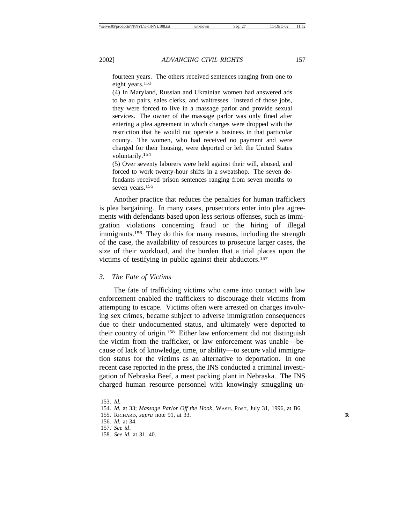fourteen years. The others received sentences ranging from one to eight years.<sup>153</sup>

(4) In Maryland, Russian and Ukrainian women had answered ads to be au pairs, sales clerks, and waitresses. Instead of those jobs, they were forced to live in a massage parlor and provide sexual services. The owner of the massage parlor was only fined after entering a plea agreement in which charges were dropped with the restriction that he would not operate a business in that particular county. The women, who had received no payment and were charged for their housing, were deported or left the United States voluntarily.154

(5) Over seventy laborers were held against their will, abused, and forced to work twenty-hour shifts in a sweatshop. The seven defendants received prison sentences ranging from seven months to seven years.<sup>155</sup>

Another practice that reduces the penalties for human traffickers is plea bargaining. In many cases, prosecutors enter into plea agreements with defendants based upon less serious offenses, such as immigration violations concerning fraud or the hiring of illegal immigrants.156 They do this for many reasons, including the strength of the case, the availability of resources to prosecute larger cases, the size of their workload, and the burden that a trial places upon the victims of testifying in public against their abductors.157

# *3. The Fate of Victims*

The fate of trafficking victims who came into contact with law enforcement enabled the traffickers to discourage their victims from attempting to escape. Victims often were arrested on charges involving sex crimes, became subject to adverse immigration consequences due to their undocumented status, and ultimately were deported to their country of origin.158 Either law enforcement did not distinguish the victim from the trafficker, or law enforcement was unable—because of lack of knowledge, time, or ability—to secure valid immigration status for the victims as an alternative to deportation. In one recent case reported in the press, the INS conducted a criminal investigation of Nebraska Beef, a meat packing plant in Nebraska. The INS charged human resource personnel with knowingly smuggling un-

<sup>153.</sup> *Id.*

<sup>154.</sup> *Id.* at 33; *Massage Parlor Off the Hook*, WASH. POST, July 31, 1996, at B6.

<sup>155.</sup> RICHARD, *supra* note 91, at 33. **R**

<sup>156.</sup> *Id.* at 34.

<sup>157.</sup> *See id*.

<sup>158.</sup> *See id.* at 31, 40.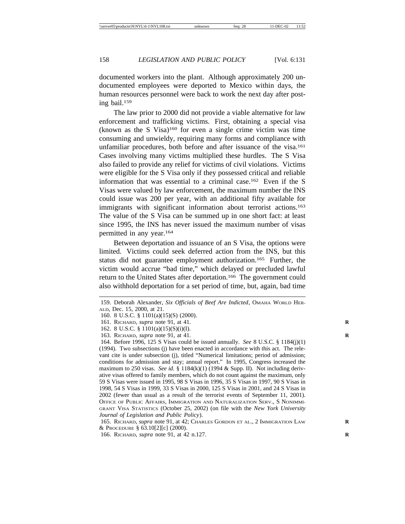documented workers into the plant. Although approximately 200 undocumented employees were deported to Mexico within days, the human resources personnel were back to work the next day after posting bail.159

The law prior to 2000 did not provide a viable alternative for law enforcement and trafficking victims. First, obtaining a special visa (known as the S Visa)160 for even a single crime victim was time consuming and unwieldy, requiring many forms and compliance with unfamiliar procedures, both before and after issuance of the visa.161 Cases involving many victims multiplied these hurdles. The S Visa also failed to provide any relief for victims of civil violations. Victims were eligible for the S Visa only if they possessed critical and reliable information that was essential to a criminal case.162 Even if the S Visas were valued by law enforcement, the maximum number the INS could issue was 200 per year, with an additional fifty available for immigrants with significant information about terrorist actions.163 The value of the S Visa can be summed up in one short fact: at least since 1995, the INS has never issued the maximum number of visas permitted in any year.164

Between deportation and issuance of an S Visa, the options were limited. Victims could seek deferred action from the INS, but this status did not guarantee employment authorization.165 Further, the victim would accrue "bad time," which delayed or precluded lawful return to the United States after deportation.166 The government could also withhold deportation for a set period of time, but, again, bad time

163. RICHARD, *supra* note 91, at 41. **R**

<sup>159.</sup> Deborah Alexander, *Six Officials of Beef Are Indicted*, OMAHA WORLD HER-ALD, Dec. 15, 2000, at 21.

<sup>160. 8</sup> U.S.C. § 1101(a)(15)(S) (2000).

<sup>161.</sup> RICHARD, *supra* note 91, at 41. **R**

<sup>162. 8</sup> U.S.C. § 1101(a)(15)(S)(i)(I).

<sup>164.</sup> Before 1996, 125 S Visas could be issued annually. *See* 8 U.S.C. § 1184(j)(1) (1994). Two subsections (j) have been enacted in accordance with this act. The relevant cite is under subsection (j), titled "Numerical limitations; period of admission; conditions for admission and stay; annual report." In 1995, Congress increased the maximum to 250 visas. *See id.* § 1184(k)(1) (1994 & Supp. II). Not including derivative visas offered to family members, which do not count against the maximum, only 59 S Visas were issued in 1995, 98 S Visas in 1996, 35 S Visas in 1997, 90 S Visas in 1998, 54 S Visas in 1999, 33 S Visas in 2000, 125 S Visas in 2001, and 24 S Visas in 2002 (fewer than usual as a result of the terrorist events of September 11, 2001). OFFICE OF PUBLIC AFFAIRS, IMMIGRATION AND NATURALIZATION SERV., S NONIMMI-GRANT VISA STATISTICS (October 25, 2002) (on file with the *New York University Journal of Legislation and Public Policy*).

<sup>165.</sup> RICHARD, *supra* note 91, at 42; CHARLES GORDON ET AL., 2 IMMIGRATION LAW **R** & PROCEDURE § 63.10[2][c] (2000).

<sup>166.</sup> RICHARD, *supra* note 91, at 42 n.127. **R**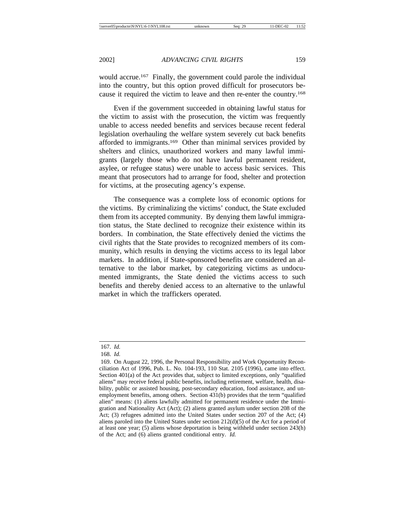would accrue.<sup>167</sup> Finally, the government could parole the individual into the country, but this option proved difficult for prosecutors because it required the victim to leave and then re-enter the country.168

Even if the government succeeded in obtaining lawful status for the victim to assist with the prosecution, the victim was frequently unable to access needed benefits and services because recent federal legislation overhauling the welfare system severely cut back benefits afforded to immigrants.169 Other than minimal services provided by shelters and clinics, unauthorized workers and many lawful immigrants (largely those who do not have lawful permanent resident, asylee, or refugee status) were unable to access basic services. This meant that prosecutors had to arrange for food, shelter and protection for victims, at the prosecuting agency's expense.

The consequence was a complete loss of economic options for the victims. By criminalizing the victims' conduct, the State excluded them from its accepted community. By denying them lawful immigration status, the State declined to recognize their existence within its borders. In combination, the State effectively denied the victims the civil rights that the State provides to recognized members of its community, which results in denying the victims access to its legal labor markets. In addition, if State-sponsored benefits are considered an alternative to the labor market, by categorizing victims as undocumented immigrants, the State denied the victims access to such benefits and thereby denied access to an alternative to the unlawful market in which the traffickers operated.

<sup>167.</sup> *Id.*

<sup>168.</sup> *Id.*

<sup>169.</sup> On August 22, 1996, the Personal Responsibility and Work Opportunity Reconciliation Act of 1996, Pub. L. No. 104-193, 110 Stat. 2105 (1996), came into effect. Section 401(a) of the Act provides that, subject to limited exceptions, only "qualified aliens" may receive federal public benefits, including retirement, welfare, health, disability, public or assisted housing, post-secondary education, food assistance, and unemployment benefits, among others. Section 431(b) provides that the term "qualified alien" means: (1) aliens lawfully admitted for permanent residence under the Immigration and Nationality Act (Act); (2) aliens granted asylum under section 208 of the Act; (3) refugees admitted into the United States under section 207 of the Act; (4) aliens paroled into the United States under section 212(d)(5) of the Act for a period of at least one year; (5) aliens whose deportation is being withheld under section 243(h) of the Act; and (6) aliens granted conditional entry. *Id.*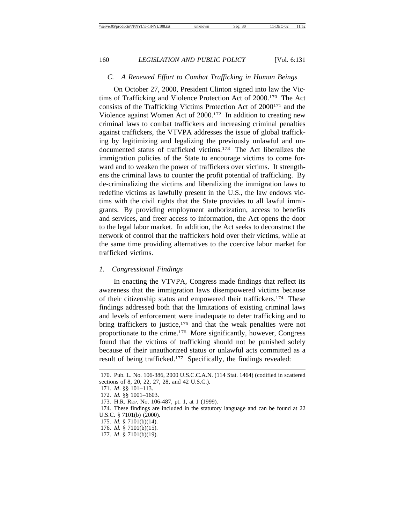#### *C. A Renewed Effort to Combat Trafficking in Human Beings*

On October 27, 2000, President Clinton signed into law the Victims of Trafficking and Violence Protection Act of 2000.170 The Act consists of the Trafficking Victims Protection Act of 2000171 and the Violence against Women Act of 2000.172 In addition to creating new criminal laws to combat traffickers and increasing criminal penalties against traffickers, the VTVPA addresses the issue of global trafficking by legitimizing and legalizing the previously unlawful and undocumented status of trafficked victims.173 The Act liberalizes the immigration policies of the State to encourage victims to come forward and to weaken the power of traffickers over victims. It strengthens the criminal laws to counter the profit potential of trafficking. By de-criminalizing the victims and liberalizing the immigration laws to redefine victims as lawfully present in the U.S., the law endows victims with the civil rights that the State provides to all lawful immigrants. By providing employment authorization, access to benefits and services, and freer access to information, the Act opens the door to the legal labor market. In addition, the Act seeks to deconstruct the network of control that the traffickers hold over their victims, while at the same time providing alternatives to the coercive labor market for trafficked victims.

#### *1. Congressional Findings*

In enacting the VTVPA, Congress made findings that reflect its awareness that the immigration laws disempowered victims because of their citizenship status and empowered their traffickers.174 These findings addressed both that the limitations of existing criminal laws and levels of enforcement were inadequate to deter trafficking and to bring traffickers to justice,<sup>175</sup> and that the weak penalties were not proportionate to the crime.176 More significantly, however, Congress found that the victims of trafficking should not be punished solely because of their unauthorized status or unlawful acts committed as a result of being trafficked.177 Specifically, the findings revealed:

<sup>170.</sup> Pub. L. No. 106-386, 2000 U.S.C.C.A.N. (114 Stat. 1464) (codified in scattered sections of 8, 20, 22, 27, 28, and 42 U.S.C.).

<sup>171.</sup> *Id*. §§ 101–113.

<sup>172.</sup> *Id.* §§ 1001–1603.

<sup>173.</sup> H.R. REP. No. 106-487, pt. 1, at 1 (1999).

<sup>174.</sup> These findings are included in the statutory language and can be found at 22 U.S.C. § 7101(b) (2000).

<sup>175.</sup> *Id.* § 7101(b)(14).

<sup>176.</sup> *Id.* § 7101(b)(15).

<sup>177.</sup> *Id*. § 7101(b)(19).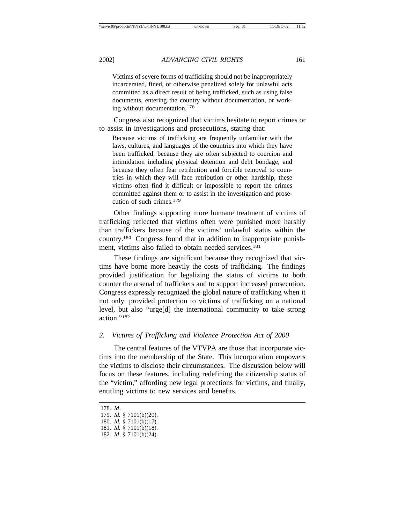Victims of severe forms of trafficking should not be inappropriately incarcerated, fined, or otherwise penalized solely for unlawful acts committed as a direct result of being trafficked, such as using false documents, entering the country without documentation, or working without documentation.<sup>178</sup>

Congress also recognized that victims hesitate to report crimes or to assist in investigations and prosecutions, stating that:

Because victims of trafficking are frequently unfamiliar with the laws, cultures, and languages of the countries into which they have been trafficked, because they are often subjected to coercion and intimidation including physical detention and debt bondage, and because they often fear retribution and forcible removal to countries in which they will face retribution or other hardship, these victims often find it difficult or impossible to report the crimes committed against them or to assist in the investigation and prosecution of such crimes.179

Other findings supporting more humane treatment of victims of trafficking reflected that victims often were punished more harshly than traffickers because of the victims' unlawful status within the country.180 Congress found that in addition to inappropriate punishment, victims also failed to obtain needed services.<sup>181</sup>

These findings are significant because they recognized that victims have borne more heavily the costs of trafficking. The findings provided justification for legalizing the status of victims to both counter the arsenal of traffickers and to support increased prosecution. Congress expressly recognized the global nature of trafficking when it not only provided protection to victims of trafficking on a national level, but also "urge[d] the international community to take strong action."182

# *2. Victims of Trafficking and Violence Protection Act of 2000*

The central features of the VTVPA are those that incorporate victims into the membership of the State. This incorporation empowers the victims to disclose their circumstances. The discussion below will focus on these features, including redefining the citizenship status of the "victim," affording new legal protections for victims, and finally, entitling victims to new services and benefits.

<sup>178.</sup> *Id*.

<sup>179.</sup> *Id.* § 7101(b)(20).

<sup>180.</sup> *Id.* § 7101(b)(17).

<sup>181.</sup> *Id.* § 7101(b)(18).

<sup>182.</sup> *Id*. § 7101(b)(24).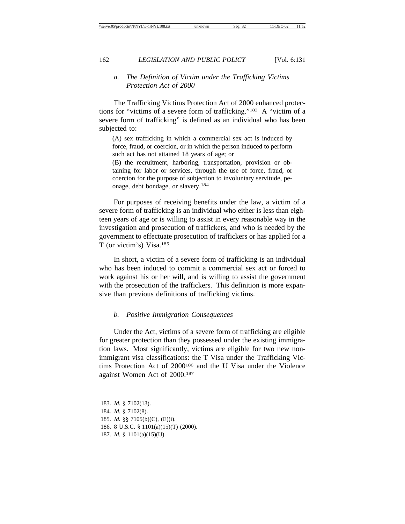# *a. The Definition of Victim under the Trafficking Victims Protection Act of 2000*

The Trafficking Victims Protection Act of 2000 enhanced protections for "victims of a severe form of trafficking."183 A "victim of a severe form of trafficking" is defined as an individual who has been subjected to:

(A) sex trafficking in which a commercial sex act is induced by force, fraud, or coercion, or in which the person induced to perform such act has not attained 18 years of age; or

(B) the recruitment, harboring, transportation, provision or obtaining for labor or services, through the use of force, fraud, or coercion for the purpose of subjection to involuntary servitude, peonage, debt bondage, or slavery.184

For purposes of receiving benefits under the law, a victim of a severe form of trafficking is an individual who either is less than eighteen years of age or is willing to assist in every reasonable way in the investigation and prosecution of traffickers, and who is needed by the government to effectuate prosecution of traffickers or has applied for a T (or victim's) Visa.185

In short, a victim of a severe form of trafficking is an individual who has been induced to commit a commercial sex act or forced to work against his or her will, and is willing to assist the government with the prosecution of the traffickers. This definition is more expansive than previous definitions of trafficking victims.

#### *b. Positive Immigration Consequences*

Under the Act, victims of a severe form of trafficking are eligible for greater protection than they possessed under the existing immigration laws. Most significantly, victims are eligible for two new nonimmigrant visa classifications: the T Visa under the Trafficking Victims Protection Act of 2000186 and the U Visa under the Violence against Women Act of 2000.187

<sup>183.</sup> *Id.* § 7102(13).

<sup>184.</sup> *Id.* § 7102(8).

<sup>185.</sup> *Id.* §§ 7105(b)(C), (E)(i).

<sup>186. 8</sup> U.S.C. § 1101(a)(15)(T) (2000).

<sup>187.</sup> *Id.* § 1101(a)(15)(U).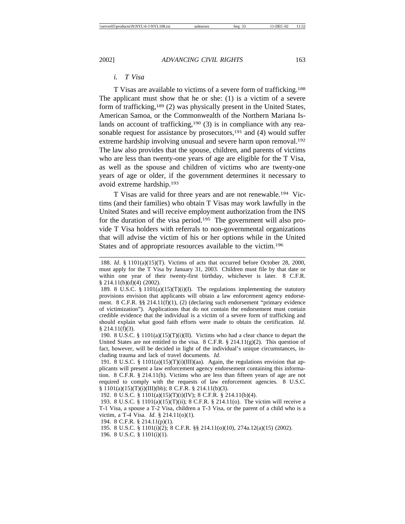### *i. T Visa*

T Visas are available to victims of a severe form of trafficking.188 The applicant must show that he or she: (1) is a victim of a severe form of trafficking,189 (2) was physically present in the United States, American Samoa, or the Commonwealth of the Northern Mariana Islands on account of trafficking,<sup>190</sup> (3) is in compliance with any reasonable request for assistance by prosecutors,  $191$  and (4) would suffer extreme hardship involving unusual and severe harm upon removal.<sup>192</sup> The law also provides that the spouse, children, and parents of victims who are less than twenty-one years of age are eligible for the T Visa, as well as the spouse and children of victims who are twenty-one years of age or older, if the government determines it necessary to avoid extreme hardship.193

T Visas are valid for three years and are not renewable.194 Victims (and their families) who obtain T Visas may work lawfully in the United States and will receive employment authorization from the INS for the duration of the visa period.195 The government will also provide T Visa holders with referrals to non-governmental organizations that will advise the victim of his or her options while in the United States and of appropriate resources available to the victim.196

196. 8 U.S.C. § 1101(i)(1).

<sup>188.</sup> *Id*. § 1101(a)(15)(T). Victims of acts that occurred before October 28, 2000, must apply for the T Visa by January 31, 2003. Children must file by that date or within one year of their twenty-first birthday, whichever is later. 8 C.F.R. § 214.11(b)(d)(4) (2002).

<sup>189. 8</sup> U.S.C. § 1101(a)(15)(T)(i)(I). The regulations implementing the statutory provisions envision that applicants will obtain a law enforcement agency endorsement. 8 C.F.R.  $\S$  214.11(f)(1), (2) (declaring such endorsement "primary evidence of victimization"). Applications that do not contain the endorsement must contain credible evidence that the individual is a victim of a severe form of trafficking and should explain what good faith efforts were made to obtain the certification. *Id.*  $§$  214.11(f)(3).

<sup>190. 8</sup> U.S.C. § 1101(a)(15)(T)(i)(II). Victims who had a clear chance to depart the United States are not entitled to the visa. 8 C.F.R.  $\S$  214.11(g)(2). This question of fact, however, will be decided in light of the individual's unique circumstances, including trauma and lack of travel documents. *Id.*

<sup>191. 8</sup> U.S.C. § 1101(a)(15)(T)(i)(III)(aa). Again, the regulations envision that applicants will present a law enforcement agency endorsement containing this information. 8 C.F.R. § 214.11(h). Victims who are less than fifteen years of age are not required to comply with the requests of law enforcement agencies. 8 U.S.C. § 1101(a)(15)(T)(i)(III)(bb); 8 C.F.R. § 214.11(b)(3).

<sup>192. 8</sup> U.S.C. § 1101(a)(15)(T)(i)(IV); 8 C.F.R. § 214.11(b)(4).

<sup>193. 8</sup> U.S.C. § 1101(a)(15)(T)(ii); 8 C.F.R. § 214.11(o). The victim will receive a T-1 Visa, a spouse a T-2 Visa, children a T-3 Visa, or the parent of a child who is a victim, a T-4 Visa. *Id.* § 214.11(o)(1).

<sup>194. 8</sup> C.F.R. § 214.11(p)(1).

<sup>195. 8</sup> U.S.C. § 1101(i)(2); 8 C.F.R. §§ 214.11(o)(10), 274a.12(a)(15) (2002).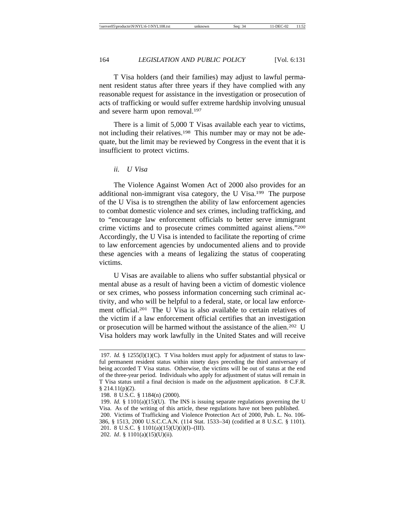T Visa holders (and their families) may adjust to lawful permanent resident status after three years if they have complied with any reasonable request for assistance in the investigation or prosecution of acts of trafficking or would suffer extreme hardship involving unusual and severe harm upon removal.<sup>197</sup>

There is a limit of 5,000 T Visas available each year to victims, not including their relatives.<sup>198</sup> This number may or may not be adequate, but the limit may be reviewed by Congress in the event that it is insufficient to protect victims.

#### *ii. U Visa*

The Violence Against Women Act of 2000 also provides for an additional non-immigrant visa category, the U Visa.199 The purpose of the U Visa is to strengthen the ability of law enforcement agencies to combat domestic violence and sex crimes, including trafficking, and to "encourage law enforcement officials to better serve immigrant crime victims and to prosecute crimes committed against aliens."200 Accordingly, the U Visa is intended to facilitate the reporting of crime to law enforcement agencies by undocumented aliens and to provide these agencies with a means of legalizing the status of cooperating victims.

U Visas are available to aliens who suffer substantial physical or mental abuse as a result of having been a victim of domestic violence or sex crimes, who possess information concerning such criminal activity, and who will be helpful to a federal, state, or local law enforcement official.201 The U Visa is also available to certain relatives of the victim if a law enforcement official certifies that an investigation or prosecution will be harmed without the assistance of the alien.202 U Visa holders may work lawfully in the United States and will receive

<sup>197.</sup> *Id.* § 1255(1)(1)(C). T Visa holders must apply for adjustment of status to lawful permanent resident status within ninety days preceding the third anniversary of being accorded T Visa status. Otherwise, the victims will be out of status at the end of the three-year period. Individuals who apply for adjustment of status will remain in T Visa status until a final decision is made on the adjustment application. 8 C.F.R.  $$214.11(p)(2).$ 

<sup>198. 8</sup> U.S.C. § 1184(n) (2000).

<sup>199.</sup> *Id.* § 1101(a)(15)(U). The INS is issuing separate regulations governing the U Visa. As of the writing of this article, these regulations have not been published.

<sup>200.</sup> Victims of Trafficking and Violence Protection Act of 2000, Pub. L. No. 106- 386, § 1513, 2000 U.S.C.C.A.N. (114 Stat. 1533–34) (codified at 8 U.S.C. § 1101). 201. 8 U.S.C. § 1101(a)(15)(U)(i)(I)–(III).

<sup>202.</sup> *Id*. § 1101(a)(15)(U)(ii).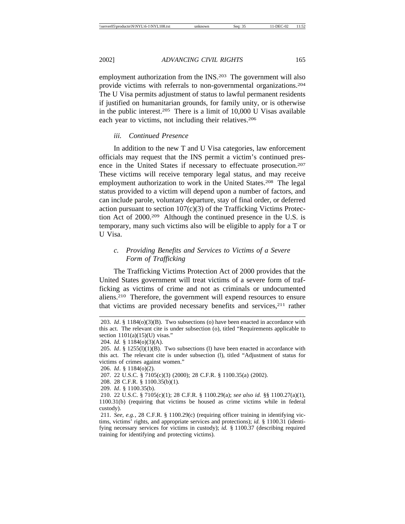employment authorization from the INS.<sup>203</sup> The government will also provide victims with referrals to non-governmental organizations.204 The U Visa permits adjustment of status to lawful permanent residents if justified on humanitarian grounds, for family unity, or is otherwise in the public interest.205 There is a limit of 10,000 U Visas available each year to victims, not including their relatives.<sup>206</sup>

# *iii. Continued Presence*

In addition to the new T and U Visa categories, law enforcement officials may request that the INS permit a victim's continued presence in the United States if necessary to effectuate prosecution.207 These victims will receive temporary legal status, and may receive employment authorization to work in the United States.<sup>208</sup> The legal status provided to a victim will depend upon a number of factors, and can include parole, voluntary departure, stay of final order, or deferred action pursuant to section  $107(c)(3)$  of the Trafficking Victims Protection Act of 2000.209 Although the continued presence in the U.S. is temporary, many such victims also will be eligible to apply for a T or U Visa.

# *c. Providing Benefits and Services to Victims of a Severe Form of Trafficking*

The Trafficking Victims Protection Act of 2000 provides that the United States government will treat victims of a severe form of trafficking as victims of crime and not as criminals or undocumented aliens.210 Therefore, the government will expend resources to ensure that victims are provided necessary benefits and services,211 rather

208. 28 C.F.R. § 1100.35(b)(1).

<sup>203.</sup> *Id*. § 1184(o)(3)(B). Two subsections (o) have been enacted in accordance with this act. The relevant cite is under subsection (o), titled "Requirements applicable to section  $1101(a)(15)(U)$  visas."

<sup>204.</sup> *Id.* § 1184(o)(3)(A).

<sup>205.</sup> *Id*. § 1255(l)(1)(B). Two subsections (l) have been enacted in accordance with this act. The relevant cite is under subsection (l), titled "Adjustment of status for victims of crimes against women."

<sup>206.</sup> *Id*. § 1184(o)(2).

<sup>207. 22</sup> U.S.C. § 7105(c)(3) (2000); 28 C.F.R. § 1100.35(a) (2002).

<sup>209.</sup> *Id*. § 1100.35(b).

<sup>210. 22</sup> U.S.C. § 7105(c)(1); 28 C.F.R. § 1100.29(a); *see also id.* §§ 1100.27(a)(1), 1100.31(b) (requiring that victims be housed as crime victims while in federal custody).

<sup>211.</sup> *See, e.g.*, 28 C.F.R. § 1100.29(c) (requiring officer training in identifying victims, victims' rights, and appropriate services and protections); *id.* § 1100.31 (identifying necessary services for victims in custody); *id.* § 1100.37 (describing required training for identifying and protecting victims).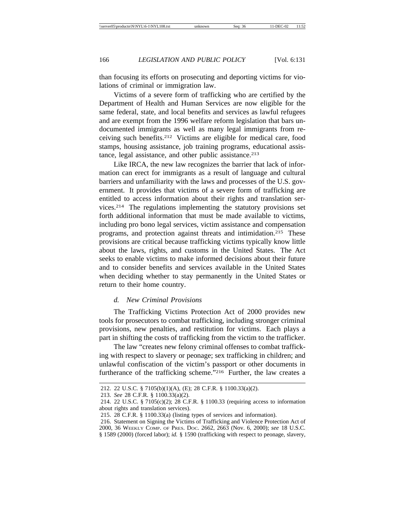than focusing its efforts on prosecuting and deporting victims for violations of criminal or immigration law.

Victims of a severe form of trafficking who are certified by the Department of Health and Human Services are now eligible for the same federal, state, and local benefits and services as lawful refugees and are exempt from the 1996 welfare reform legislation that bars undocumented immigrants as well as many legal immigrants from receiving such benefits.212 Victims are eligible for medical care, food stamps, housing assistance, job training programs, educational assistance, legal assistance, and other public assistance.<sup>213</sup>

Like IRCA, the new law recognizes the barrier that lack of information can erect for immigrants as a result of language and cultural barriers and unfamiliarity with the laws and processes of the U.S. government. It provides that victims of a severe form of trafficking are entitled to access information about their rights and translation services.214 The regulations implementing the statutory provisions set forth additional information that must be made available to victims, including pro bono legal services, victim assistance and compensation programs, and protection against threats and intimidation.215 These provisions are critical because trafficking victims typically know little about the laws, rights, and customs in the United States. The Act seeks to enable victims to make informed decisions about their future and to consider benefits and services available in the United States when deciding whether to stay permanently in the United States or return to their home country.

### *d. New Criminal Provisions*

The Trafficking Victims Protection Act of 2000 provides new tools for prosecutors to combat trafficking, including stronger criminal provisions, new penalties, and restitution for victims. Each plays a part in shifting the costs of trafficking from the victim to the trafficker.

The law "creates new felony criminal offenses to combat trafficking with respect to slavery or peonage; sex trafficking in children; and unlawful confiscation of the victim's passport or other documents in furtherance of the trafficking scheme."216 Further, the law creates a

<sup>212. 22</sup> U.S.C. § 7105(b)(1)(A), (E); 28 C.F.R. § 1100.33(a)(2).

<sup>213.</sup> *See* 28 C.F.R. § 1100.33(a)(2).

<sup>214. 22</sup> U.S.C. § 7105(c)(2); 28 C.F.R. § 1100.33 (requiring access to information about rights and translation services).

<sup>215. 28</sup> C.F.R. § 1100.33(a) (listing types of services and information).

<sup>216.</sup> Statement on Signing the Victims of Trafficking and Violence Protection Act of 2000, 36 WEEKLY COMP. OF PRES. DOC. 2662, 2663 (Nov. 6, 2000); *see* 18 U.S.C. § 1589 (2000) (forced labor); *id.* § 1590 (trafficking with respect to peonage, slavery,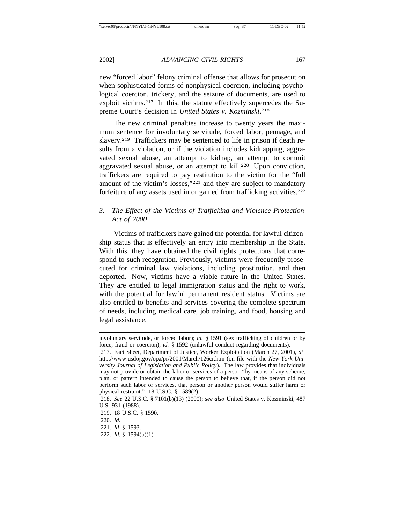new "forced labor" felony criminal offense that allows for prosecution when sophisticated forms of nonphysical coercion, including psychological coercion, trickery, and the seizure of documents, are used to exploit victims.217 In this, the statute effectively supercedes the Supreme Court's decision in *United States v. Kozminski*. 218

The new criminal penalties increase to twenty years the maximum sentence for involuntary servitude, forced labor, peonage, and slavery.219 Traffickers may be sentenced to life in prison if death results from a violation, or if the violation includes kidnapping, aggravated sexual abuse, an attempt to kidnap, an attempt to commit aggravated sexual abuse, or an attempt to kill.220 Upon conviction, traffickers are required to pay restitution to the victim for the "full amount of the victim's losses,"221 and they are subject to mandatory forfeiture of any assets used in or gained from trafficking activities.<sup>222</sup>

# *3. The Effect of the Victims of Trafficking and Violence Protection Act of 2000*

Victims of traffickers have gained the potential for lawful citizenship status that is effectively an entry into membership in the State. With this, they have obtained the civil rights protections that correspond to such recognition. Previously, victims were frequently prosecuted for criminal law violations, including prostitution, and then deported. Now, victims have a viable future in the United States. They are entitled to legal immigration status and the right to work, with the potential for lawful permanent resident status. Victims are also entitled to benefits and services covering the complete spectrum of needs, including medical care, job training, and food, housing and legal assistance.

- 219. 18 U.S.C. § 1590.
- 220. *Id.*
- 221. *Id*. § 1593.
- 222. *Id.* § 1594(b)(1).

involuntary servitude, or forced labor); *id.* § 1591 (sex trafficking of children or by force, fraud or coercion); *id.* § 1592 (unlawful conduct regarding documents).

<sup>217.</sup> Fact Sheet, Department of Justice, Worker Exploitation (March 27, 2001), *at*  http://www.usdoj.gov/opa/pr/2001/March/126cr.htm (on file with the *New York University Journal of Legislation and Public Policy*). The law provides that individuals may not provide or obtain the labor or services of a person "by means of any scheme, plan, or pattern intended to cause the person to believe that, if the person did not perform such labor or services, that person or another person would suffer harm or physical restraint." 18 U.S.C. § 1589(2).

<sup>218.</sup> *See* 22 U.S.C. § 7101(b)(13) (2000); *see also* United States v. Kozminski, 487 U.S. 931 (1988).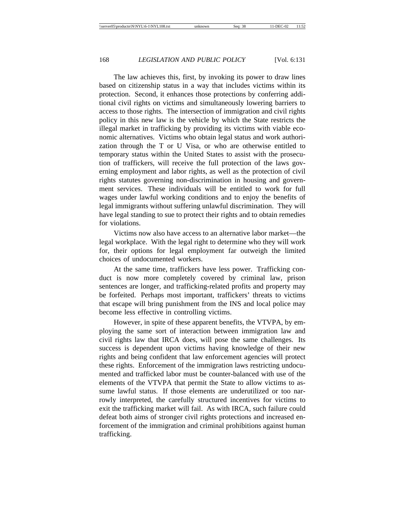The law achieves this, first, by invoking its power to draw lines based on citizenship status in a way that includes victims within its protection. Second, it enhances those protections by conferring additional civil rights on victims and simultaneously lowering barriers to access to those rights. The intersection of immigration and civil rights policy in this new law is the vehicle by which the State restricts the illegal market in trafficking by providing its victims with viable economic alternatives. Victims who obtain legal status and work authorization through the T or U Visa, or who are otherwise entitled to temporary status within the United States to assist with the prosecution of traffickers, will receive the full protection of the laws governing employment and labor rights, as well as the protection of civil rights statutes governing non-discrimination in housing and government services. These individuals will be entitled to work for full wages under lawful working conditions and to enjoy the benefits of legal immigrants without suffering unlawful discrimination. They will have legal standing to sue to protect their rights and to obtain remedies for violations.

Victims now also have access to an alternative labor market—the legal workplace. With the legal right to determine who they will work for, their options for legal employment far outweigh the limited choices of undocumented workers.

At the same time, traffickers have less power. Trafficking conduct is now more completely covered by criminal law, prison sentences are longer, and trafficking-related profits and property may be forfeited. Perhaps most important, traffickers' threats to victims that escape will bring punishment from the INS and local police may become less effective in controlling victims.

However, in spite of these apparent benefits, the VTVPA, by employing the same sort of interaction between immigration law and civil rights law that IRCA does, will pose the same challenges. Its success is dependent upon victims having knowledge of their new rights and being confident that law enforcement agencies will protect these rights. Enforcement of the immigration laws restricting undocumented and trafficked labor must be counter-balanced with use of the elements of the VTVPA that permit the State to allow victims to assume lawful status. If those elements are underutilized or too narrowly interpreted, the carefully structured incentives for victims to exit the trafficking market will fail. As with IRCA, such failure could defeat both aims of stronger civil rights protections and increased enforcement of the immigration and criminal prohibitions against human trafficking.